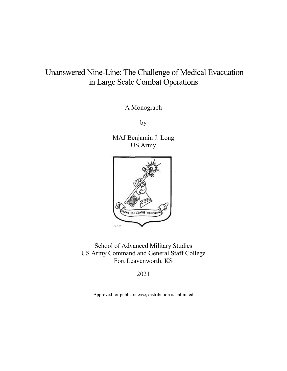# Unanswered Nine-Line: The Challenge of Medical Evacuation in Large Scale Combat Operations

A Monograph

by

MAJ Benjamin J. Long US Army



School of Advanced Military Studies US Army Command and General Staff College Fort Leavenworth, KS

2021

Approved for public release; distribution is unlimited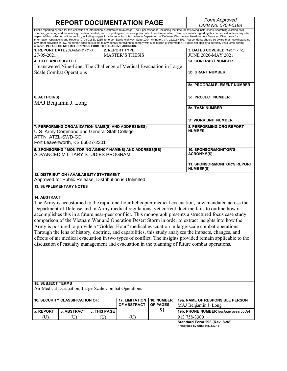**REPORT DOCUMENTATION PAGE** *Form Approved OMB No. 0704-0188* Public reporting burden for this collection of information is estimated to average 1 hour per response, including the time for reviewing instructions, searching existing data sources, gathering and maintaining the data needed, and completing and reviewing this collection of information. Send comments regarding this burden estimate or any other aspect of this collection of information, including suggestions for reducing this burden to Department of Defense, Washington Headquarters Services, Directorate for<br>Information Operations and Reports (0704-0188), 1215 Jeff any other provision of law, no person shall be subject to any penalty for failing to comply with a collection of information if it does not display a currently valid OMB control<br>number. **PLEASE DO NOT RETURN YOUR FORM TO 1. REPORT DATE** *(DD-MM-YYYY)* 27-05-2021 **2. REPORT TYPE** MASTER'S THESIS **3. DATES COVERED** *(From - To)* JUNE 2020-MAY 2021 **4. TITLE AND SUBTITLE** Unanswered Nine-Line: The Challenge of Medical Evacuation in Large Scale Combat Operations **5a. CONTRACT NUMBER 5b. GRANT NUMBER 5c. PROGRAM ELEMENT NUMBER 6. AUTHOR(S)** MAJ Benjamin J. Long **5d. PROJECT NUMBER 5e. TASK NUMBER 5f. WORK UNIT NUMBER 7. PERFORMING ORGANIZATION NAME(S) AND ADDRESS(ES)** U.S. Army Command and General Staff College ATTN: ATZL-SWD-GD Fort Leavenworth, KS 66027-2301 **8. PERFORMING ORG REPORT NUMBER 9. SPONSORING / MONITORING AGENCY NAME(S) AND ADDRESS(ES)** ADVANCED MILITARY STUDIES PROGRAM **10. SPONSOR/MONITOR'S ACRONYM(S) 11. SPONSOR/MONITOR'S REPORT NUMBER(S) 12. DISTRIBUTION / AVAILABILITY STATEMENT** Approved for Public Release; Distribution is Unlimited **13. SUPPLEMENTARY NOTES 14. ABSTRACT** The Army is accustomed to the rapid one-hour helicopter medical evacuation, now mandated across the Department of Defense and in Army medical regulations, yet current doctrine fails to outline how it accomplishes this in a future near-peer conflict. This monograph presents a structured focus case study comparison of the Vietnam War and Operation Desert Storm in order to extract insights into how the Army is postured to provide a "Golden Hour" medical evacuation in large-scale combat operations. Through the lens of history, doctrine, and capabilities, this study analyzes the impacts, changes, and effects of air medical evacuation in two types of conflict. The insights provided remain applicable to the discussion of casualty management and evacuation in the planning of future combat operations. **15. SUBJECT TERMS** Air Medical Evacuation, Large-Scale Combat Operations **16. SECURITY CLASSIFICATION OF: 17. LIMITATION OF ABSTRACT 18. NUMBER OF PAGES** 51 **19a. NAME OF RESPONSIBLE PERSON** MAJ Benjamin J. Long **a.** REPORT **b. ABSTRACT c. THIS PAGE 19b. PHONE NUMBER** *(include area code*) (U)  $(U)$  (U)  $(U)$  (U)  $(1)$  (U)  $(913\,758-3300)$ 

**Standard Form 298 (Rev. 8-98) Prescribed by ANSI Std. Z39.18**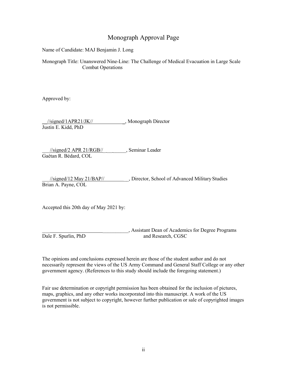# Monograph Approval Page

Name of Candidate: MAJ Benjamin J. Long

Monograph Title: Unanswered Nine-Line: The Challenge of Medical Evacuation in Large Scale Combat Operations

Approved by:

//signed/1APR21/JK// \_\_\_\_\_\_\_\_\_\_, Monograph Director Justin E. Kidd, PhD

\_\_\_//signed/2 APR 21/RGB//\_ \_\_ \_\_\_\_\_, Seminar Leader Gaétan R. Bédard, COL

\_\_\_//signed/12 May 21/BAP// \_\_, Director, School of Advanced Military Studies Brian A. Payne, COL

Accepted this 20th day of May 2021 by:

, Assistant Dean of Academics for Degree Programs Dale F. Spurlin, PhD and Research, CGSC

The opinions and conclusions expressed herein are those of the student author and do not necessarily represent the views of the US Army Command and General Staff College or any other government agency. (References to this study should include the foregoing statement.)

Fair use determination or copyright permission has been obtained for the inclusion of pictures, maps, graphics, and any other works incorporated into this manuscript. A work of the US government is not subject to copyright, however further publication or sale of copyrighted images is not permissible.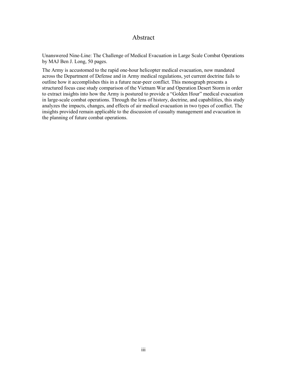# Abstract

Unanswered Nine-Line: The Challenge of Medical Evacuation in Large Scale Combat Operations by MAJ Ben J. Long, 50 pages.

The Army is accustomed to the rapid one-hour helicopter medical evacuation, now mandated across the Department of Defense and in Army medical regulations, yet current doctrine fails to outline how it accomplishes this in a future near-peer conflict. This monograph presents a structured focus case study comparison of the Vietnam War and Operation Desert Storm in order to extract insights into how the Army is postured to provide a "Golden Hour" medical evacuation in large-scale combat operations. Through the lens of history, doctrine, and capabilities, this study analyzes the impacts, changes, and effects of air medical evacuation in two types of conflict. The insights provided remain applicable to the discussion of casualty management and evacuation in the planning of future combat operations.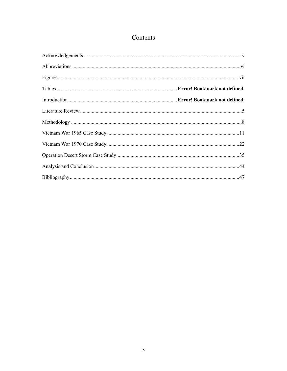# Contents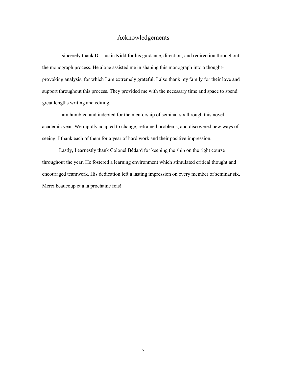# Acknowledgements

<span id="page-5-0"></span>I sincerely thank Dr. Justin Kidd for his guidance, direction, and redirection throughout the monograph process. He alone assisted me in shaping this monograph into a thoughtprovoking analysis, for which I am extremely grateful. I also thank my family for their love and support throughout this process. They provided me with the necessary time and space to spend great lengths writing and editing.

I am humbled and indebted for the mentorship of seminar six through this novel academic year. We rapidly adapted to change, reframed problems, and discovered new ways of seeing. I thank each of them for a year of hard work and their positive impression.

Lastly, I earnestly thank Colonel Bédard for keeping the ship on the right course throughout the year. He fostered a learning environment which stimulated critical thought and encouraged teamwork. His dedication left a lasting impression on every member of seminar six. Merci beaucoup et à la prochaine fois!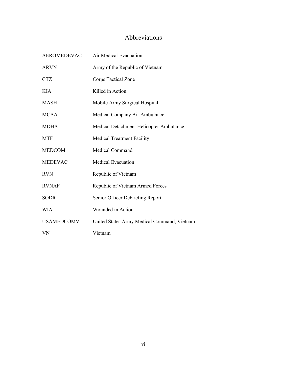# Abbreviations

<span id="page-6-1"></span><span id="page-6-0"></span>

| <b>AEROMEDEVAC</b> | Air Medical Evacuation                      |
|--------------------|---------------------------------------------|
| <b>ARVN</b>        | Army of the Republic of Vietnam             |
| <b>CTZ</b>         | Corps Tactical Zone                         |
| KIA                | Killed in Action                            |
| MASH               | Mobile Army Surgical Hospital               |
| <b>MCAA</b>        | Medical Company Air Ambulance               |
| MDHA               | Medical Detachment Helicopter Ambulance     |
| <b>MTF</b>         | <b>Medical Treatment Facility</b>           |
| <b>MEDCOM</b>      | Medical Command                             |
| <b>MEDEVAC</b>     | <b>Medical Evacuation</b>                   |
| <b>RVN</b>         | Republic of Vietnam                         |
| <b>RVNAF</b>       | Republic of Vietnam Armed Forces            |
| <b>SODR</b>        | Senior Officer Debriefing Report            |
| <b>WIA</b>         | Wounded in Action                           |
| <b>USAMEDCOMV</b>  | United States Army Medical Command, Vietnam |
| VN                 | Vietnam                                     |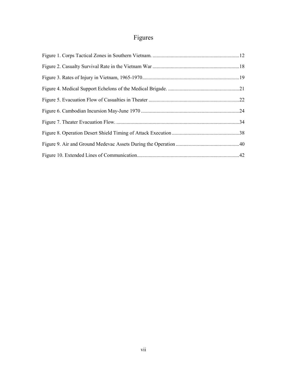# Figures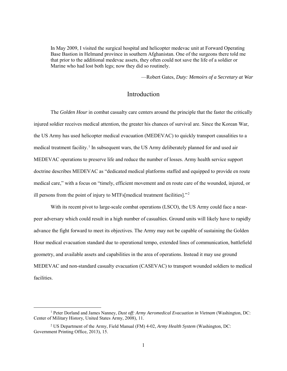In May 2009, I visited the surgical hospital and helicopter medevac unit at Forward Operating Base Bastion in Helmand province in southern Afghanistan. One of the surgeons there told me that prior to the additional medevac assets, they often could not save the life of a soldier or Marine who had lost both legs; now they did so routinely.

—Robert Gates, *Duty: Memoirs of a Secretary at War*

# Introduction

The *Golden Hour* in combat casualty care centers around the principle that the faster the critically injured soldier receives medical attention, the greater his chances of survival are. Since the Korean War, the US Army has used helicopter medical evacuation (MEDEVAC) to quickly transport causalities to a medical treatment facility.<sup>1</sup> In subsequent wars, the US Army deliberately planned for and used air MEDEVAC operations to preserve life and reduce the number of losses. Army health service support doctrine describes MEDEVAC as "dedicated medical platforms staffed and equipped to provide en route medical care," with a focus on "timely, efficient movement and en route care of the wounded, injured, or ill persons from the point of injury to MTFs[medical treatment facilities]."<sup>2</sup>

With its recent pivot to large-scale combat operations (LSCO), the US Army could face a nearpeer adversary which could result in a high number of casualties. Ground units will likely have to rapidly advance the fight forward to meet its objectives. The Army may not be capable of sustaining the Golden Hour medical evacuation standard due to operational tempo, extended lines of communication, battlefield geometry, and available assets and capabilities in the area of operations. Instead it may use ground MEDEVAC and non-standard casualty evacuation (CASEVAC) to transport wounded soldiers to medical facilities.

 <sup>1</sup> Peter Dorland and James Nanney, *Dust off: Army Aeromedical Evacuation in Vietnam* (Washington, DC: Center of Military History, United States Army, 2008), 11.

<sup>2</sup> US Department of the Army, Field Manual (FM) 4-02, *Army Health System* (Washington, DC: Government Printing Office, 2013), 15.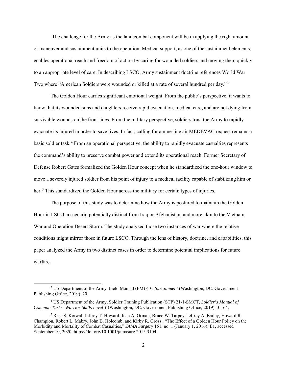The challenge for the Army as the land combat component will be in applying the right amount of maneuver and sustainment units to the operation. Medical support, as one of the sustainment elements, enables operational reach and freedom of action by caring for wounded soldiers and moving them quickly to an appropriate level of care. In describing LSCO, Army sustainment doctrine references World War Two where "American Soldiers were wounded or killed at a rate of several hundred per day."<sup>3</sup>

The Golden Hour carries significant emotional weight. From the public's perspective, it wants to know that its wounded sons and daughters receive rapid evacuation, medical care, and are not dying from survivable wounds on the front lines. From the military perspective, soldiers trust the Army to rapidly evacuate its injured in order to save lives. In fact, calling for a nine-line air MEDEVAC request remains a basic soldier task.<sup>4</sup> From an operational perspective, the ability to rapidly evacuate casualties represents the command's ability to preserve combat power and extend its operational reach. Former Secretary of Defense Robert Gates formalized the Golden Hour concept when he standardized the one-hour window to move a severely injured soldier from his point of injury to a medical facility capable of stabilizing him or her.<sup>5</sup> This standardized the Golden Hour across the military for certain types of injuries.

The purpose of this study was to determine how the Army is postured to maintain the Golden Hour in LSCO; a scenario potentially distinct from Iraq or Afghanistan, and more akin to the Vietnam War and Operation Desert Storm. The study analyzed those two instances of war where the relative conditions might mirror those in future LSCO. Through the lens of history, doctrine, and capabilities, this paper analyzed the Army in two distinct cases in order to determine potential implications for future warfare.

 <sup>3</sup> US Department of the Army, Field Manual (FM) 4-0, *Sustainment* (Washington, DC: Government Publishing Office, 2019), 20.

<sup>4</sup> US Department of the Army, Soldier Training Publication (STP) 21-1-SMCT, *Soldier's Manual of Common Tasks: Warrior Skills Level 1* (Washington, DC: Government Publishing Office, 2019), 3-164.

<sup>5</sup> Russ S. Kotwal. Jeffrey T. Howard, Jean A. Orman, Bruce W. Tarpey, Jeffrey A. Bailey, Howard R. Champion, Robert L. Mabry, John B. Holcomb, and Kirby R. Gross , "The Effect of a Golden Hour Policy on the Morbidity and Mortality of Combat Casualties," *JAMA Surgery* 151, no. 1 (January 1, 2016): E1, accessed September 10, 2020, [https://doi.org/10.1001/jamasurg.2015.3104.](https://doi.org/10.1001/jamasurg.2015.3104)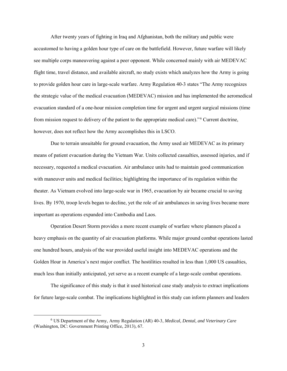After twenty years of fighting in Iraq and Afghanistan, both the military and public were accustomed to having a golden hour type of care on the battlefield. However, future warfare will likely see multiple corps maneuvering against a peer opponent. While concerned mainly with air MEDEVAC flight time, travel distance, and available aircraft, no study exists which analyzes how the Army is going to provide golden hour care in large-scale warfare. Army Regulation 40-3 states "The Army recognizes the strategic value of the medical evacuation (MEDEVAC) mission and has implemented the aeromedical evacuation standard of a one-hour mission completion time for urgent and urgent surgical missions (time from mission request to delivery of the patient to the appropriate medical care)."<sup>6</sup> Current doctrine, however, does not reflect how the Army accomplishes this in LSCO.

Due to terrain unsuitable for ground evacuation, the Army used air MEDEVAC as its primary means of patient evacuation during the Vietnam War. Units collected casualties, assessed injuries, and if necessary, requested a medical evacuation. Air ambulance units had to maintain good communication with maneuver units and medical facilities; highlighting the importance of its regulation within the theater. As Vietnam evolved into large-scale war in 1965, evacuation by air became crucial to saving lives. By 1970, troop levels began to decline, yet the role of air ambulances in saving lives became more important as operations expanded into Cambodia and Laos.

Operation Desert Storm provides a more recent example of warfare where planners placed a heavy emphasis on the quantity of air evacuation platforms. While major ground combat operations lasted one hundred hours, analysis of the war provided useful insight into MEDEVAC operations and the Golden Hour in America's next major conflict. The hostilities resulted in less than 1,000 US casualties, much less than initially anticipated, yet serve as a recent example of a large-scale combat operations.

The significance of this study is that it used historical case study analysis to extract implications for future large-scale combat. The implications highlighted in this study can inform planners and leaders

 <sup>6</sup> US Department of the Army, Army Regulation (AR) 40-3, *Medical, Dental, and Veterinary Care* (Washington, DC: Government Printing Office, 2013), 67.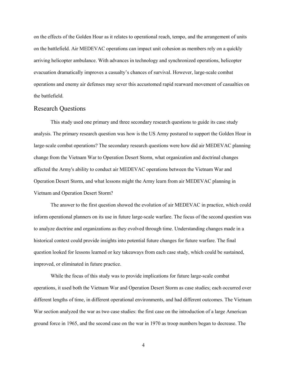on the effects of the Golden Hour as it relates to operational reach, tempo, and the arrangement of units on the battlefield. Air MEDEVAC operations can impact unit cohesion as members rely on a quickly arriving helicopter ambulance. With advances in technology and synchronized operations, helicopter evacuation dramatically improves a casualty's chances of survival. However, large-scale combat operations and enemy air defenses may sever this accustomed rapid rearward movement of casualties on the battlefield.

#### Research Questions

This study used one primary and three secondary research questions to guide its case study analysis. The primary research question was how is the US Army postured to support the Golden Hour in large-scale combat operations? The secondary research questions were how did air MEDEVAC planning change from the Vietnam War to Operation Desert Storm, what organization and doctrinal changes affected the Army's ability to conduct air MEDEVAC operations between the Vietnam War and Operation Desert Storm, and what lessons might the Army learn from air MEDEVAC planning in Vietnam and Operation Desert Storm?

The answer to the first question showed the evolution of air MEDEVAC in practice, which could inform operational planners on its use in future large-scale warfare. The focus of the second question was to analyze doctrine and organizations as they evolved through time. Understanding changes made in a historical context could provide insights into potential future changes for future warfare. The final question looked for lessons learned or key takeaways from each case study, which could be sustained, improved, or eliminated in future practice.

While the focus of this study was to provide implications for future large-scale combat operations, it used both the Vietnam War and Operation Desert Storm as case studies; each occurred over different lengths of time, in different operational environments, and had different outcomes. The Vietnam War section analyzed the war as two case studies: the first case on the introduction of a large American ground force in 1965, and the second case on the war in 1970 as troop numbers began to decrease. The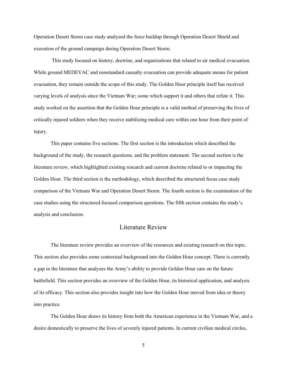Operation Desert Storm case study analyzed the force buildup through Operation Desert Shield and execution of the ground campaign during Operation Desert Storm.

This study focused on history, doctrine, and organizations that related to air medical evacuation. While ground MEDEVAC and nonstandard casualty evacuation can provide adequate means for patient evacuation, they remain outside the scope of this study. The Golden Hour principle itself has received varying levels of analysis since the Vietnam War; some which support it and others that refute it. This study worked on the assertion that the Golden Hour principle is a valid method of preserving the lives of critically injured soldiers when they receive stabilizing medical care within one hour from their point of injury.

This paper contains five sections. The first section is the introduction which described the background of the study, the research questions, and the problem statement. The second section is the literature review, which highlighted existing research and current doctrine related to or impacting the Golden Hour. The third section is the methodology, which described the structured focus case study comparison of the Vietnam War and Operation Desert Storm. The fourth section is the examination of the case studies using the structured focused comparison questions. The fifth section contains the study's analysis and conclusion.

# Literature Review

The literature review provides an overview of the resources and existing research on this topic. This section also provides some contextual background into the Golden Hour concept. There is currently a gap in the literature that analyzes the Army's ability to provide Golden Hour care on the future battlefield. This section provides an overview of the Golden Hour, its historical application, and analysis of its efficacy. This section also provides insight into how the Golden Hour moved from idea or theory into practice.

The Golden Hour draws its history from both the American experience in the Vietnam War, and a desire domestically to preserve the lives of severely injured patients. In current civilian medical circles,

5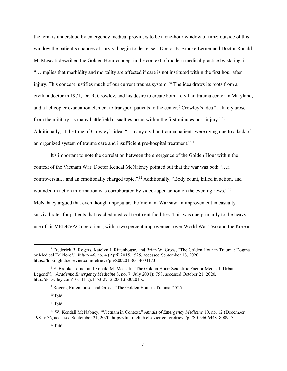the term is understood by emergency medical providers to be a one-hour window of time; outside of this window the patient's chances of survival begin to decrease.<sup>7</sup> Doctor E. Brooke Lerner and Doctor Ronald M. Moscati described the Golden Hour concept in the context of modern medical practice by stating, it "…implies that morbidity and mortality are affected if care is not instituted within the first hour after injury. This concept justifies much of our current trauma system."<sup>8</sup> The idea draws its roots from a civilian doctor in 1971, Dr. R. Crowley, and his desire to create both a civilian trauma center in Maryland, and a helicopter evacuation element to transport patients to the center.<sup>9</sup> Crowley's idea "...likely arose from the military, as many battlefield casualties occur within the first minutes post-injury."<sup>10</sup> Additionally, at the time of Crowley's idea, "…many civilian trauma patients were dying due to a lack of an organized system of trauma care and insufficient pre-hospital treatment."<sup>11</sup>

It's important to note the correlation between the emergence of the Golden Hour within the context of the Vietnam War. Doctor Kendal McNabney pointed out that the war was both "…a controversial...and an emotionally charged topic."<sup>12</sup> Additionally, "Body count, killed in action, and wounded in action information was corroborated by video-taped action on the evening news."<sup>13</sup> McNabney argued that even though unpopular, the Vietnam War saw an improvement in casualty survival rates for patients that reached medical treatment facilities. This was due primarily to the heavy use of air MEDEVAC operations, with a two percent improvement over World War Two and the Korean

 $10$  Ibid.

 $11$  Ibid.

 $13$  Ibid.

<sup>&</sup>lt;sup>7</sup> Frederick B. Rogers, Katelyn J. Rittenhouse, and Brian W. Gross, "The Golden Hour in Trauma: Dogma or Medical Folklore?," *Injury* 46, no. 4 (April 2015): 525, accessed September 18, 2020, https://linkinghub.elsevier.com/retrieve/pii/S0020138314004173.

<sup>8</sup> E. Brooke Lerner and Ronald M. Moscati, "The Golden Hour: Scientific Fact or Medical 'Urban Legend'?," *Academic Emergency Medicine* 8, no. 7 (July 2001): 758, accessed October 21, 2020, http://doi.wiley.com/10.1111/j.1553-2712.2001.tb00201.x.

<sup>&</sup>lt;sup>9</sup> Rogers, Rittenhouse, and Gross, "The Golden Hour in Trauma," 525.

<sup>12</sup> W. Kendall McNabney, "Vietnam in Context," *Annals of Emergency Medicine* 10, no. 12 (December 1981): 76, accessed September 21, 2020, https://linkinghub.elsevier.com/retrieve/pii/S0196064481800947.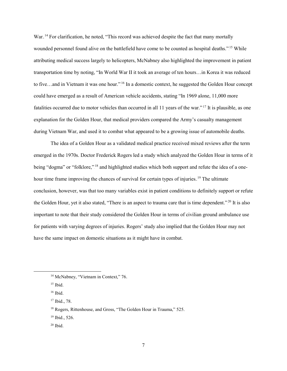War.<sup>14</sup> For clarification, he noted, "This record was achieved despite the fact that many mortally wounded personnel found alive on the battlefield have come to be counted as hospital deaths.".<sup>15</sup> While attributing medical success largely to helicopters, McNabney also highlighted the improvement in patient transportation time by noting, "In World War II it took an average of ten hours…in Korea it was reduced to five...and in Vietnam it was one hour."<sup>16</sup> In a domestic context, he suggested the Golden Hour concept could have emerged as a result of American vehicle accidents, stating "In 1969 alone, 11,000 more fatalities occurred due to motor vehicles than occurred in all 11 years of the war." $^{17}$  It is plausible, as one explanation for the Golden Hour, that medical providers compared the Army's casualty management during Vietnam War, and used it to combat what appeared to be a growing issue of automobile deaths.

The idea of a Golden Hour as a validated medical practice received mixed reviews after the term emerged in the 1970s. Doctor Frederick Rogers led a study which analyzed the Golden Hour in terms of it being "dogma" or "folklore,"<sup>18</sup> and highlighted studies which both support and refute the idea of a onehour time frame improving the chances of survival for certain types of injuries.<sup>19</sup> The ultimate conclusion, however, was that too many variables exist in patient conditions to definitely support or refute the Golden Hour, yet it also stated, "There is an aspect to trauma care that is time dependent."<sup>20</sup> It is also important to note that their study considered the Golden Hour in terms of civilian ground ambulance use for patients with varying degrees of injuries. Rogers' study also implied that the Golden Hour may not have the same impact on domestic situations as it might have in combat.

- <sup>19</sup> Ibid., 526.
- $20$  Ibid.

<sup>&</sup>lt;sup>14</sup> McNabney, "Vietnam in Context," 76.

 $15$  Ibid.

<sup>16</sup> Ibid.

<sup>17</sup> Ibid., 78.

<sup>&</sup>lt;sup>18</sup> Rogers, Rittenhouse, and Gross, "The Golden Hour in Trauma," 525.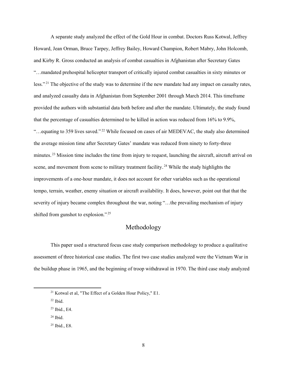A separate study analyzed the effect of the Gold Hour in combat. Doctors Russ Kotwal, Jeffrey Howard, Jean Orman, Bruce Tarpey, Jeffrey Bailey, Howard Champion, Robert Mabry, John Holcomb, and Kirby R. Gross conducted an analysis of combat casualties in Afghanistan after Secretary Gates "…mandated prehospital helicopter transport of critically injured combat casualties in sixty minutes or less."<sup>21</sup> The objective of the study was to determine if the new mandate had any impact on casualty rates, and analyzed casualty data in Afghanistan from September 2001 through March 2014. This timeframe provided the authors with substantial data both before and after the mandate. Ultimately, the study found that the percentage of casualties determined to be killed in action was reduced from 16% to 9.9%, "...equating to 359 lives saved."<sup>22</sup> While focused on cases of air MEDEVAC, the study also determined the average mission time after Secretary Gates' mandate was reduced from ninety to forty-three minutes.<sup>23</sup> Mission time includes the time from injury to request, launching the aircraft, aircraft arrival on scene, and movement from scene to military treatment facility.<sup>24</sup> While the study highlights the improvements of a one-hour mandate, it does not account for other variables such as the operational tempo, terrain, weather, enemy situation or aircraft availability. It does, however, point out that that the severity of injury became complex throughout the war, noting "…the prevailing mechanism of injury shifted from gunshot to explosion.".<sup>25</sup>

# Methodology

This paper used a structured focus case study comparison methodology to produce a qualitative assessment of three historical case studies. The first two case studies analyzed were the Vietnam War in the buildup phase in 1965, and the beginning of troop withdrawal in 1970. The third case study analyzed

<sup>24</sup> Ibid.

 <sup>21</sup> Kotwal et al, "The Effect of a Golden Hour Policy," E1.

 $22$  Ibid.

<sup>23</sup> Ibid., E4.

<sup>25</sup> Ibid., E8.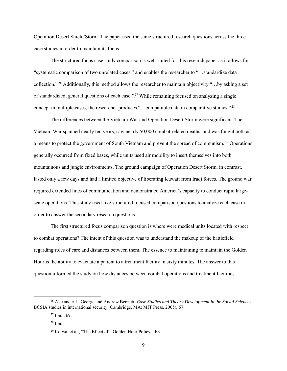Operation Desert Shield/Storm. The paper used the same structured research questions across the three case studies in order to maintain its focus.

The structured focus case study comparison is well-suited for this research paper as it allows for "systematic comparison of two unrelated cases," and enables the researcher to "…standardize data collection."<sup>26</sup> Additionally, this method allows the researcher to maintain objectivity "...by asking a set of standardized, general questions of each case."<sup>27</sup> While remaining focused on analyzing a single concept in multiple cases, the researcher produces "...comparable data in comparative studies."<sup>28</sup>

The differences between the Vietnam War and Operation Desert Storm were significant. The Vietnam War spanned nearly ten years, saw nearly 50,000 combat related deaths, and was fought both as a means to protect the government of South Vietnam and prevent the spread of communism.<sup>29</sup> Operations generally occurred from fixed bases, while units used air mobility to insert themselves into both mountainous and jungle environments. The ground campaign of Operation Desert Storm, in contrast, lasted only a few days and had a limited objective of liberating Kuwait from Iraqi forces. The ground war required extended lines of communication and demonstrated America's capacity to conduct rapid largescale operations. This study used five structured focused comparison questions to analyze each case in order to answer the secondary research questions.

The first structured focus comparison question is where were medical units located with respect to combat operations? The intent of this question was to understand the makeup of the battlefield regarding roles of care and distances between them. The essence to maintaining to maintain the Golden Hour is the ability to evacuate a patient to a treatment facility in sixty minutes. The answer to this question informed the study on how distances between combat operations and treatment facilities

 <sup>26</sup> Alexander L. George and Andrew Bennett, *Case Studies and Theory Development in the Social Sciences*, BCSIA studies in international security (Cambridge, MA: MIT Press, 2005), 67.

<sup>27</sup> Ibid., 69.

<sup>28</sup> Ibid.

<sup>&</sup>lt;sup>29</sup> Kotwal et al., "The Effect of a Golden Hour Policy," E3.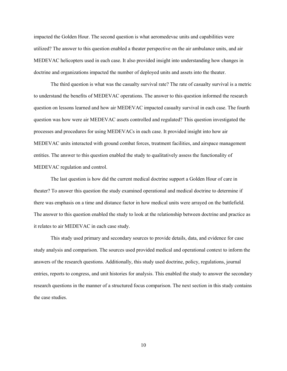impacted the Golden Hour. The second question is what aeromedevac units and capabilities were utilized? The answer to this question enabled a theater perspective on the air ambulance units, and air MEDEVAC helicopters used in each case. It also provided insight into understanding how changes in doctrine and organizations impacted the number of deployed units and assets into the theater.

The third question is what was the casualty survival rate? The rate of casualty survival is a metric to understand the benefits of MEDEVAC operations. The answer to this question informed the research question on lessons learned and how air MEDEVAC impacted casualty survival in each case. The fourth question was how were air MEDEVAC assets controlled and regulated? This question investigated the processes and procedures for using MEDEVACs in each case. It provided insight into how air MEDEVAC units interacted with ground combat forces, treatment facilities, and airspace management entities. The answer to this question enabled the study to qualitatively assess the functionality of MEDEVAC regulation and control.

The last question is how did the current medical doctrine support a Golden Hour of care in theater? To answer this question the study examined operational and medical doctrine to determine if there was emphasis on a time and distance factor in how medical units were arrayed on the battlefield. The answer to this question enabled the study to look at the relationship between doctrine and practice as it relates to air MEDEVAC in each case study.

This study used primary and secondary sources to provide details, data, and evidence for case study analysis and comparison. The sources used provided medical and operational context to inform the answers of the research questions. Additionally, this study used doctrine, policy, regulations, journal entries, reports to congress, and unit histories for analysis. This enabled the study to answer the secondary research questions in the manner of a structured focus comparison. The next section in this study contains the case studies.

10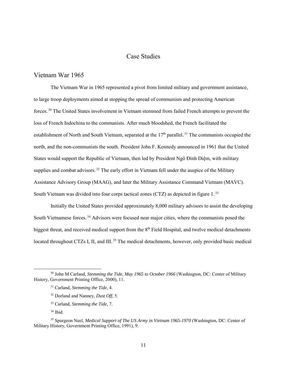## Case Studies

## Vietnam War 1965

The Vietnam War in 1965 represented a pivot from limited military and government assistance, to large troop deployments aimed at stopping the spread of communism and protecting American forces.<sup>30</sup> The United States involvement in Vietnam stemmed from failed French attempts to prevent the loss of French Indochina to the communists. After much bloodshed, the French facilitated the establishment of North and South Vietnam, separated at the  $17<sup>th</sup>$  parallel.<sup>31</sup> The communists occupied the north, and the non-communists the south. President John F. Kennedy announced in 1961 that the United States would support the Republic of Vietnam, then led by President Ngô Đình Diệm, with military supplies and combat advisors.<sup>32</sup> The early effort in Vietnam fell under the auspice of the Military Assistance Advisory Group (MAAG), and later the Military Assistance Command Vietnam (MAVC). South Vietnam was divided into four corps tactical zones (CTZ) as depicted in figure  $1.^{33}$ 

Initially the United States provided approximately 8,000 military advisors to assist the developing South Vietnamese forces.<sup>34</sup> Advisors were focused near major cities, where the communists posed the biggest threat, and received medical support from the 8<sup>th</sup> Field Hospital, and twelve medical detachments located throughout CTZs I, II, and III.<sup>35</sup> The medical detachments, however, only provided basic medical

- <sup>32</sup> Dorland and Nanney, *Dust Off,* 5.
- <sup>33</sup> Carland, *Stemming the Tide,* 7.

 $34$  Ibid.

 <sup>30</sup> John M Carland, *Stemming the Tide, May 1965 to October 1966* (Washington, DC: Center of Military History, Government Printing Office, 2000), 11.

<sup>31</sup> Carland, *Stemming the Tide*, 4.

<sup>35</sup> Spurgeon Neel, *Medical Support of The US Army in Vietnam 1965-1970* (Washington, DC: Center of Military History, Government Printing Office, 1991), 9.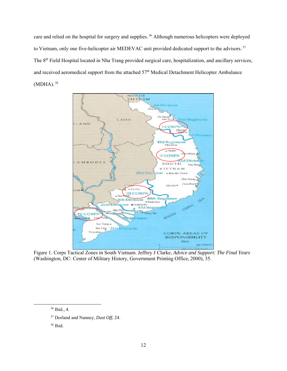care and relied on the hospital for surgery and supplies.<sup>36</sup> Although numerous helicopters were deployed to Vietnam, only one five-helicopter air MEDEVAC unit provided dedicated support to the advisors.<sup>37</sup> The 8<sup>th</sup> Field Hospital located in Nha Trang provided surgical care, hospitalization, and ancillary services, and received aeromedical support from the attached 57<sup>th</sup> Medical Detachment Helicopter Ambulance  $(MDHA).$ <sup>38</sup>



Figure 1. Corps Tactical Zones in South Vietnam. Jeffrey J Clarke, *Advice and Support: The Final Years* (Washington, DC: Center of Military History, Government Printing Office, 2000), 35.

 <sup>36</sup> Ibid., 4.

<sup>37</sup> Dorland and Nanney, *Dust Off*, 24.

<sup>38</sup> Ibid.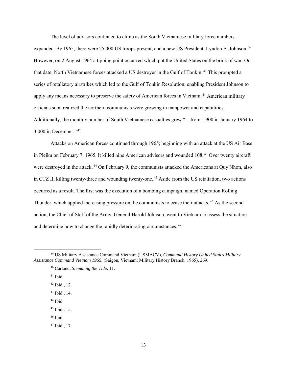The level of advisors continued to climb as the South Vietnamese military force numbers expanded. By 1965, there were 25,000 US troops present, and a new US President, Lyndon B. Johnson.<sup>39</sup> However, on 2 August 1964 a tipping point occurred which put the United States on the brink of war. On that date, North Vietnamese forces attacked a US destroyer in the Gulf of Tonkin.<sup>40</sup> This prompted a series of retaliatory airstrikes which led to the Gulf of Tonkin Resolution; enabling President Johnson to apply any means necessary to preserve the safety of American forces in Vietnam.<sup>41</sup> American military officials soon realized the northern communists were growing in manpower and capabilities. Additionally, the monthly number of South Vietnamese casualties grew "…from 1,900 in January 1964 to  $3,000$  in December." $42$ 

Attacks on American forces continued through 1965; beginning with an attack at the US Air Base in Pleiku on February 7, 1965. It killed nine American advisors and wounded 108.<sup>43</sup> Over twenty aircraft were destroyed in the attack.<sup>44</sup> On February 9, the communists attacked the Americans at Quy Nhon, also in CTZ II, killing twenty-three and wounding twenty-one.<sup>45</sup> Aside from the US retaliation, two actions occurred as a result. The first was the execution of a bombing campaign, named Operation Rolling Thunder, which applied increasing pressure on the communists to cease their attacks.<sup>46</sup> As the second action, the Chief of Staff of the Army, General Harold Johnson, went to Vietnam to assess the situation and determine how to change the rapidly deteriorating circumstances. $47$ 

- <sup>44</sup> Ibid.
- $45$  Ibid., 15.
- <sup>46</sup> Ibid.

 <sup>39</sup> US Military Assistance Command Vietnam (USMACV), *Command History United States Military Assistance Command Vietnam 1965*, (Saigon, Vietnam: Military History Branch, 1965), 269.

<sup>40</sup> Carland, *Stemming the Tide,* 11.

<sup>41</sup> Ibid.

 $42$  Ibid., 12.

<sup>43</sup> Ibid., 14.

<sup>47</sup> Ibid., 17.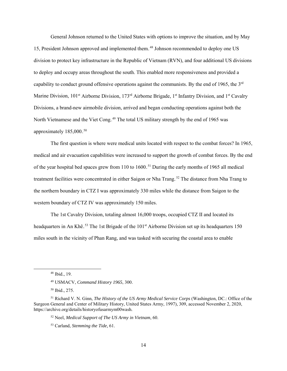General Johnson returned to the United States with options to improve the situation, and by May 15, President Johnson approved and implemented them.<sup>48</sup> Johnson recommended to deploy one US division to protect key infrastructure in the Republic of Vietnam (RVN), and four additional US divisions to deploy and occupy areas throughout the south. This enabled more responsiveness and provided a capability to conduct ground offensive operations against the communists. By the end of 1965, the 3rd Marine Division, 101<sup>st</sup> Airborne Division, 173<sup>rd</sup> Airborne Brigade, 1<sup>st</sup> Infantry Division, and 1<sup>st</sup> Cavalry Divisions, a brand-new airmobile division, arrived and began conducting operations against both the North Vietnamese and the Viet Cong.<sup>49</sup> The total US military strength by the end of 1965 was approximately  $185,000.^{50}$ 

The first question is where were medical units located with respect to the combat forces? In 1965, medical and air evacuation capabilities were increased to support the growth of combat forces. By the end of the year hospital bed spaces grew from 110 to  $1600$ .<sup>51</sup> During the early months of 1965 all medical treatment facilities were concentrated in either Saigon or Nha Trang.<sup>52</sup> The distance from Nha Trang to the northern boundary in CTZ I was approximately 330 miles while the distance from Saigon to the western boundary of CTZ IV was approximately 150 miles.

The 1st Cavalry Division, totaling almost 16,000 troops, occupied CTZ II and located its headquarters in An Khê.<sup>53</sup> The 1st Brigade of the 101<sup>st</sup> Airborne Division set up its headquarters 150 miles south in the vicinity of Phan Rang, and was tasked with securing the coastal area to enable

 <sup>48</sup> Ibid., 19.

<sup>49</sup> USMACV, *Command History 1965*, 300.

<sup>50</sup> Ibid., 275.

<sup>51</sup> Richard V. N. Ginn, *The History of the US Army Medical Service Corps* (Washington, DC.: Office of the Surgeon General and Center of Military History, United States Army, 1997), 309, accessed November 2, 2020, https://archive.org/details/historyofusarmym00wash.

<sup>52</sup> Neel, *Medical Support of The US Army in Vietnam*, 60.

<sup>53</sup> Carland, *Stemming the Tide,* 61.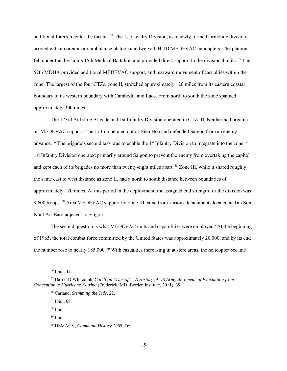additional forces to enter the theater.<sup>54</sup> The 1st Cavalry Division, as a newly formed airmobile division, arrived with an organic air ambulance platoon and twelve UH-1D MEDEVAC helicopters. The platoon fell under the division's 15th Medical Battalion and provided direct support to the divisional units.<sup>55</sup> The 57th MDHA provided additional MEDEVAC support, and rearward movement of casualties within the zone. The largest of the four CTZs, zone II, stretched approximately 120 miles from its eastern coastal boundary to its western boundary with Cambodia and Laos. From north to south the zone spanned approximately 300 miles.

The 173rd Airborne Brigade and 1st Infantry Division operated in CTZ III. Neither had organic air MEDEVAC support. The 173rd operated out of Biên Hòa and defended Saigon from an enemy advance.<sup>56</sup> The brigade's second task was to enable the 1<sup>st</sup> Infantry Division to integrate into the zone.<sup>57</sup> 1st Infantry Division operated primarily around Saigon to prevent the enemy from overtaking the capitol and kept each of its brigades no more than twenty-eight miles apart.<sup>58</sup> Zone III, while it shared roughly the same east to west distance as zone II, had a north to south distance between boundaries of approximately 120 miles. At this period in the deployment, the assigned end strength for the division was 9,600 troops.<sup>59</sup> Area MEDEVAC support for zone III came from various detachments located at Tan Son Nhut Air Base adjacent to Saigon.

The second question is what MEDEVAC units and capabilities were employed? At the beginning of 1965, the total combat force committed by the United States was approximately 20,000, and by its end the number rose to nearly 185,000.<sup>60</sup> With casualties increasing in austere areas, the helicopter became

<sup>57</sup> Ibid., 68.

 <sup>54</sup> Ibid., 43.

<sup>55</sup> Darrel D Whitcomb, *Call Sign "Dustoff": A History of US Army Aeromedical Evacuation from Conception to Hurricane Katrina* (Frederick, MD: Borden Institute, 2011), 39.

<sup>56</sup> Carland, *Stemming the Tide,* 22.

<sup>58</sup> Ibid.

<sup>59</sup> Ibid.

<sup>60</sup> USMACV, *Command History 1965*, 269.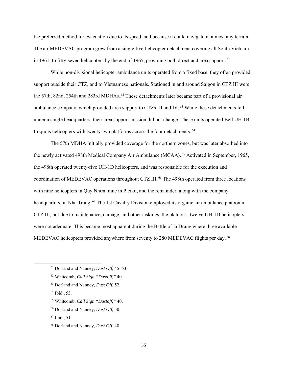the preferred method for evacuation due to its speed, and because it could navigate in almost any terrain. The air MEDEVAC program grew from a single five-helicopter detachment covering all South Vietnam in 1961, to fifty-seven helicopters by the end of 1965, providing both direct and area support.<sup>61</sup>

While non-divisional helicopter ambulance units operated from a fixed base, they often provided support outside their CTZ, and to Vietnamese nationals. Stationed in and around Saigon in CTZ III were the 57th, 82nd, 254th and 283rd MDHAs.<sup>62</sup> These detachments later became part of a provisional air ambulance company, which provided area support to CTZs III and IV.<sup>63</sup> While these detachments fell under a single headquarters, their area support mission did not change. These units operated Bell UH-1B Iroquois helicopters with twenty-two platforms across the four detachments.<sup>64</sup>

The 57th MDHA initially provided coverage for the northern zones, but was later absorbed into the newly activated 498th Medical Company Air Ambulance (MCAA).<sup>65</sup> Activated in September, 1965, the 498th operated twenty-five UH-1D helicopters, and was responsible for the execution and coordination of MEDEVAC operations throughout CTZ III.<sup>66</sup> The 498th operated from three locations with nine helicopters in Quy Nhơn, nine in Pleiku, and the remainder, along with the company headquarters, in Nha Trang.<sup>67</sup> The 1st Cavalry Division employed its organic air ambulance platoon in CTZ III, but due to maintenance, damage, and other taskings, the platoon's twelve UH-1D helicopters were not adequate. This became most apparent during the Battle of Ia Drang where three available MEDEVAC helicopters provided anywhere from seventy to 280 MEDEVAC flights per day.<sup>68</sup>

<sup>67</sup> Ibid., 51.

 <sup>61</sup> Dorland and Nanney, *Dust Off*, 45–53.

<sup>62</sup> Whitcomb, *Call Sign "Dustoff,"* 40.

<sup>63</sup> Dorland and Nanney, *Dust Off*, 52.

<sup>64</sup> Ibid., 53.

<sup>65</sup> Whitcomb, *Call Sign "Dustoff,"* 40.

<sup>66</sup> Dorland and Nanney, *Dust Off*, 50.

<sup>68</sup> Dorland and Nanney, *Dust Off*, 48.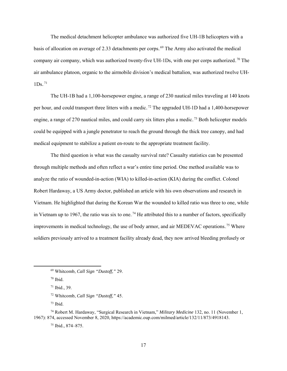The medical detachment helicopter ambulance was authorized five UH-1B helicopters with a basis of allocation on average of 2.33 detachments per corps.<sup>69</sup> The Army also activated the medical company air company, which was authorized twenty-five UH-1Ds, with one per corps authorized.<sup>70</sup> The air ambulance platoon, organic to the airmobile division's medical battalion, was authorized twelve UH- $1Ds.$ <sup>71</sup>

The UH-1B had a 1,100-horsepower engine, a range of 230 nautical miles traveling at 140 knots per hour, and could transport three litters with a medic.<sup>72</sup> The upgraded UH-1D had a 1,400-horsepower engine, a range of 270 nautical miles, and could carry six litters plus a medic.<sup>73</sup> Both helicopter models could be equipped with a jungle penetrator to reach the ground through the thick tree canopy, and had medical equipment to stabilize a patient en-route to the appropriate treatment facility.

The third question is what was the casualty survival rate? Casualty statistics can be presented through multiple methods and often reflect a war's entire time period. One method available was to analyze the ratio of wounded-in-action (WIA) to killed-in-action (KIA) during the conflict. Colonel Robert Hardaway, a US Army doctor, published an article with his own observations and research in Vietnam. He highlighted that during the Korean War the wounded to killed ratio was three to one, while in Vietnam up to 1967, the ratio was six to one.<sup>74</sup> He attributed this to a number of factors, specifically improvements in medical technology, the use of body armor, and air MEDEVAC operations.<sup>75</sup> Where soldiers previously arrived to a treatment facility already dead, they now arrived bleeding profusely or

 <sup>69</sup> Whitcomb, *Call Sign "Dustoff,"* 29.

 $70$  Ibid.

 $71$  Ibid., 39.

<sup>72</sup> Whitcomb, *Call Sign "Dustoff,"* 45.

 $73$  Ibid.

<sup>74</sup> Robert M. Hardaway, "Surgical Research in Vietnam," *Military Medicine* 132, no. 11 (November 1, 1967): 874, accessed November 8, 2020, https://academic.oup.com/milmed/article/132/11/873/4918143.

<sup>75</sup> Ibid., 874–875.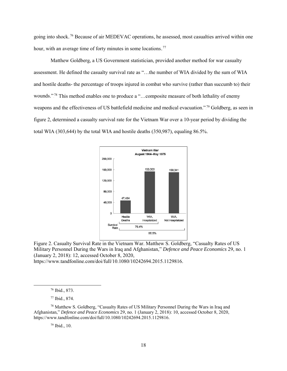going into shock.<sup>76</sup> Because of air MEDEVAC operations, he assessed, most casualties arrived within one hour, with an average time of forty minutes in some locations.<sup>77</sup>

Matthew Goldberg, a US Government statistician, provided another method for war casualty assessment. He defined the casualty survival rate as "…the number of WIA divided by the sum of WIA and hostile deaths- the percentage of troops injured in combat who survive (rather than succumb to) their wounds."<sup>78</sup> This method enables one to produce a "...composite measure of both lethality of enemy weapons and the effectiveness of US battlefield medicine and medical evacuation."<sup>79</sup> Goldberg, as seen in figure 2, determined a casualty survival rate for the Vietnam War over a 10-year period by dividing the total WIA (303,644) by the total WIA and hostile deaths (350,987), equaling 86.5%.





https://www.tandfonline.com/doi/full/10.1080/10242694.2015.1129816.

<sup>79</sup> Ibid., 10.

 <sup>76</sup> Ibid., 873.

<sup>77</sup> Ibid., 874.

<sup>78</sup> Matthew S. Goldberg, "Casualty Rates of US Military Personnel During the Wars in Iraq and Afghanistan," *Defence and Peace Economics* 29, no. 1 (January 2, 2018): 10, accessed October 8, 2020, https://www.tandfonline.com/doi/full/10.1080/10242694.2015.1129816.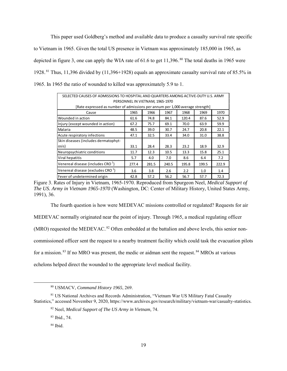This paper used Goldberg's method and available data to produce a casualty survival rate specific to Vietnam in 1965. Given the total US presence in Vietnam was approximately 185,000 in 1965, as depicted in figure 3, one can apply the WIA rate of 61.6 to get  $11,396$ .<sup>80</sup> The total deaths in 1965 were 1928.<sup>81</sup> Thus, 11,396 divided by  $(11,396+1928)$  equals an approximate casualty survival rate of 85.5% in 1965. In 1965 the ratio of wounded to killed was approximately 5.9 to 1.

| SELECTED CAUSES OF ADMISSIONS TO HOSPITAL AND QUARTERS AMONG ACTIVE-DUTY U.S. ARMY |       |       |       |       |       |       |
|------------------------------------------------------------------------------------|-------|-------|-------|-------|-------|-------|
| PERSONNEL IN VIETNAM, 1965-1970                                                    |       |       |       |       |       |       |
| [Rate expressed as number of admissions per annum per 1,000 average strength]      |       |       |       |       |       |       |
| Cause                                                                              | 1965  | 1966  | 1967  | 1968  | 1969  | 1970  |
| Wounded in action                                                                  | 61.6  | 74.8  | 84.1  | 120.4 | 87.6  | 52.9  |
| Injury (except wounded in action)                                                  | 67.2  | 75.7  | 69.1  | 70.0  | 63.9  | 59.9  |
| Malaria                                                                            | 48.5  | 39.0  | 30.7  | 24.7  | 20.8  | 22.1  |
| Acute respiratory infections                                                       | 47.1  | 32.5  | 33.4  | 34.0  | 31.0  | 38.8  |
| Skin diseases (includes dermatophyt-                                               |       |       |       |       |       |       |
| osis)                                                                              | 33.1  | 28.4  | 28.3  | 23.2  | 18.9  | 32.9  |
| Neuropsychiatric conditions                                                        | 11.7  | 12.3  | 10.5  | 13.3  | 15.8  | 25.1  |
| Viral hepatitis                                                                    | 5.7   | 4.0   | 7.0   | 8.6   | 6.4   | 7.2   |
| Venereal disease (includes CRO $1$ )                                               | 277.4 | 281.5 | 240.5 | 195.8 | 199.5 | 222.9 |
| Venereal disease (excludes CRO $1$ )                                               | 3.6   | 3.8   | 2.6   | 2.2   | 1.0   | 1.4   |
| Fever of undetermined origin                                                       | 42.8  | 57.2  | 56.2  | 56.7  | 57.7  | 72.3  |

Figure 3. Rates of Injury in Vietnam, 1965-1970. Reproduced from Spurgeon Neel, *Medical Support of The US. Army in Vietnam 1965-1970* (Washington, DC: Center of Military History, United States Army, 1991), 36.

The fourth question is how were MEDEVAC missions controlled or regulated? Requests for air

MEDEVAC normally originated near the point of injury. Through 1965, a medical regulating officer

 $(MRO)$  requested the MEDEVAC.<sup>82</sup> Often embedded at the battalion and above levels, this senior non-

commissioned officer sent the request to a nearby treatment facility which could task the evacuation pilots

for a mission.<sup>83</sup> If no MRO was present, the medic or aidman sent the request.<sup>84</sup> MROs at various

echelons helped direct the wounded to the appropriate level medical facility.

 <sup>80</sup> USMACV, *Command History 1965*, 269.

<sup>81</sup> US National Archives and Records Administration, "Vietnam War US Military Fatal Casualty Statistics," accessed November 9, 2020, https://www.archives.gov/research/military/vietnam-war/casualty-statistics.

<sup>82</sup> Neel, *Medical Support of The US Army in Vietnam,* 74.

<sup>83</sup> Ibid., 74.

 $84$  Ibid.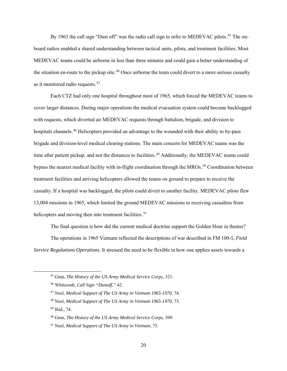By 1963 the call sign "Dust off" was the radio call sign to refer to MEDEVAC pilots.<sup>85</sup> The onboard radios enabled a shared understanding between tactical units, pilots, and treatment facilities. Most MEDEVAC teams could be airborne in less than three minutes and could gain a better understanding of the situation en-route to the pickup site.<sup>86</sup> Once airborne the team could divert to a more serious casualty as it monitored radio requests. $87$ 

Each CTZ had only one hospital throughout most of 1965, which forced the MEDEVAC teams to cover larger distances. During major operations the medical evacuation system could become backlogged with requests, which diverted air MEDEVAC requests through battalion, brigade, and division to hospitals channels.<sup>88</sup> Helicopters provided an advantage to the wounded with their ability to by-pass brigade and division-level medical clearing stations. The main concern for MEDEVAC teams was the time after patient pickup, and not the distances to facilities.<sup>89</sup> Additionally, the MEDEVAC teams could bypass the nearest medical facility with in-flight coordination through the MROs.<sup>90</sup> Coordination between treatment facilities and arriving helicopters allowed the teams on ground to prepare to receive the casualty. If a hospital was backlogged, the pilots could divert to another facility. MEDEVAC pilots flew 13,004 missions in 1965, which limited the ground MEDEVAC missions to receiving casualties from helicopters and moving then into treatment facilities.<sup>91</sup>

The final question is how did the current medical doctrine support the Golden Hour in theater? The operations in 1965 Vietnam reflected the descriptions of war described in FM 100-*5, Field Service Regulations Operations.* It stressed the need to be flexible in how one applies assets towards a

 <sup>85</sup> Ginn, *The History of the US Army Medical Service Corps*, 321.

<sup>86</sup> Whitcomb, *Call Sign "Dustoff,"* 42.

<sup>87</sup> Neel, *Medical Support of The US Army in Vietnam 1965-1970*, 74.

<sup>88</sup> Neel, *Medical Support of The US Army in Vietnam 1965-1970*, 73.

<sup>89</sup> Ibid., 74.

<sup>90</sup> Ginn, *The History of the US Army Medical Service Corps*, 309.

<sup>91</sup> Neel, *Medical Support of The US Army in Vietnam*, 75.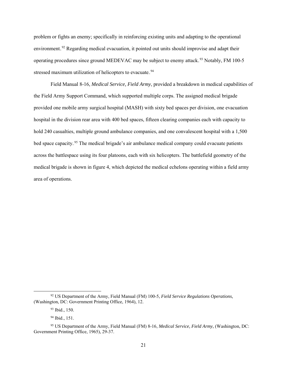problem or fights an enemy; specifically in reinforcing existing units and adapting to the operational environment.<sup>92</sup> Regarding medical evacuation, it pointed out units should improvise and adapt their operating procedures since ground MEDEVAC may be subject to enemy attack.<sup>93</sup> Notably, FM 100-5 stressed maximum utilization of helicopters to evacuate.<sup>94</sup>

Field Manual 8-16, *Medical Service, Field Army*, provided a breakdown in medical capabilities of the Field Army Support Command, which supported multiple corps. The assigned medical brigade provided one mobile army surgical hospital (MASH) with sixty bed spaces per division, one evacuation hospital in the division rear area with 400 bed spaces, fifteen clearing companies each with capacity to hold 240 casualties, multiple ground ambulance companies, and one convalescent hospital with a 1,500 bed space capacity.<sup>95</sup> The medical brigade's air ambulance medical company could evacuate patients across the battlespace using its four platoons, each with six helicopters. The battlefield geometry of the medical brigade is shown in figure 4, which depicted the medical echelons operating within a field army area of operations.

 <sup>92</sup> US Department of the Army, Field Manual (FM) 100-5, *Field Service Regulations Operations,*  (Washington, DC: Government Printing Office, 1964), 12.

<sup>93</sup> Ibid., 150.

<sup>94</sup> Ibid., 151.

<sup>95</sup> US Department of the Army, Field Manual (FM) 8-16, *Medical Service, Field Army,* (Washington, DC: Government Printing Office, 1965), 29-37.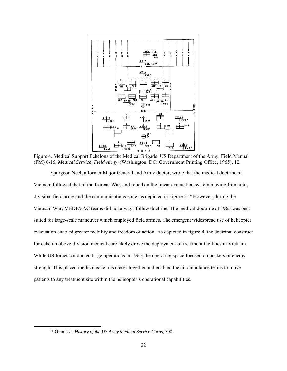

Figure 4. Medical Support Echelons of the Medical Brigade. US Department of the Army, Field Manual (FM) 8-16, *Medical Service, Field Army*, (Washington, DC: Government Printing Office, 1965), 12.

Spurgeon Neel, a former Major General and Army doctor, wrote that the medical doctrine of Vietnam followed that of the Korean War, and relied on the linear evacuation system moving from unit, division, field army and the communications zone, as depicted in Figure 5.<sup>96</sup> However, during the Vietnam War, MEDEVAC teams did not always follow doctrine. The medical doctrine of 1965 was best suited for large-scale maneuver which employed field armies. The emergent widespread use of helicopter evacuation enabled greater mobility and freedom of action. As depicted in figure 4, the doctrinal construct for echelon-above-division medical care likely drove the deployment of treatment facilities in Vietnam. While US forces conducted large operations in 1965, the operating space focused on pockets of enemy strength. This placed medical echelons closer together and enabled the air ambulance teams to move patients to any treatment site within the helicopter's operational capabilities.

 <sup>96</sup> Ginn, *The History of the US Army Medical Service Corps*, 308.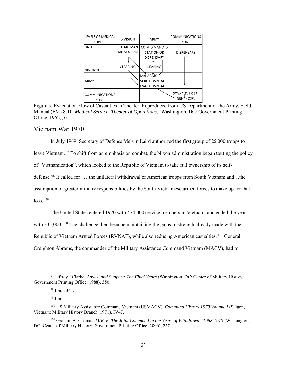| LEVELS OF MEDICAL<br><b>SERVICE</b> | <b>DIVISION</b>            | ARMY                                                           | COMMUNICATIONS<br>ZONE                    |  |
|-------------------------------------|----------------------------|----------------------------------------------------------------|-------------------------------------------|--|
| <b>UNIT</b>                         | CO. AID MAN<br>AID STATION | CO. AID MAN AID<br><b>STATION OR</b><br><b>DISPENSARY</b>      | <b>DISPENSARY</b>                         |  |
| <b>DIVISION</b>                     | <b>CLEARING</b>            | <b>CLEARING</b>                                                |                                           |  |
| ARMY                                |                            | <b>MBLARMY</b><br><b>SURG HOSPITAL</b><br><b>EVAC HOSPITAL</b> |                                           |  |
| <b>COMMUNICATIONS</b><br>ZONE       |                            |                                                                | STA./FLD. HOSP.<br>GEN <sup>V</sup> HOSP. |  |

Figure 5. Evacuation Flow of Casualties in Theater. Reproduced from US Department of the Army, Field Manual (FM) 8-10, *Medical Service, Theater of Operations*, (Washington, DC: Government Printing Office, 1962), 6.

#### Vietnam War 1970

In July 1969, Secretary of Defense Melvin Laird authorized the first group of 25,000 troops to leave Vietnam.<sup>97</sup> To shift from an emphasis on combat, the Nixon administration began touting the policy of "Vietnamization", which looked to the Republic of Vietnam to take full ownership of its selfdefense.<sup>98</sup> It called for "...the unilateral withdrawal of American troops from South Vietnam and...the assumption of greater military responsibilities by the South Vietnamese armed forces to make up for that  $loss."$ <sup>99</sup>

The United States entered 1970 with 474,000 service members in Vietnam, and ended the year with 335,000.<sup>100</sup> The challenge then became maintaining the gains in strength already made with the Republic of Vietnam Armed Forces (RVNAF), while also reducing American casualties. <sup>101</sup> General Creighton Abrams, the commander of the Military Assistance Command Vietnam (MACV), had to

 <sup>97</sup> Jeffrey J Clarke, *Advice and Support: The Final Years* (Washington, DC: Center of Military History, Government Printing Office, 1988), 350.

<sup>98</sup> Ibid., 341.

 $99$  Ibid.

<sup>100</sup> US Military Assistance Command Vietnam (USMACV), *Command History 1970 Volume I* (Saigon, Vietnam: Military History Branch, 1971), IV–7.

<sup>101</sup> Graham A. Cosmas, *MACV: The Joint Command in the Years of Withdrawal, 1968-1973* (Washington, DC: Center of Military History, Government Printing Office, 2006), 257.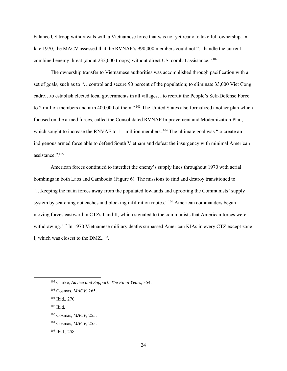balance US troop withdrawals with a Vietnamese force that was not yet ready to take full ownership. In late 1970, the MACV assessed that the RVNAF's 990,000 members could not "…handle the current combined enemy threat (about 232,000 troops) without direct US. combat assistance." $1^{102}$ 

The ownership transfer to Vietnamese authorities was accomplished through pacification with a set of goals, such as to "…control and secure 90 percent of the population; to eliminate 33,000 Viet Cong cadre…to establish elected local governments in all villages…to recruit the People's Self-Defense Force to 2 million members and arm 400,000 of them."<sup>103</sup> The United States also formalized another plan which focused on the armed forces, called the Consolidated RVNAF Improvement and Modernization Plan, which sought to increase the RNVAF to 1.1 million members. <sup>104</sup> The ultimate goal was "to create an indigenous armed force able to defend South Vietnam and defeat the insurgency with minimal American assistance.".<sup>105</sup>

American forces continued to interdict the enemy's supply lines throughout 1970 with aerial bombings in both Laos and Cambodia (Figure 6). The missions to find and destroy transitioned to "…keeping the main forces away from the populated lowlands and uprooting the Communists' supply system by searching out caches and blocking infiltration routes."<sup>106</sup> American commanders began moving forces eastward in CTZs I and II, which signaled to the communists that American forces were withdrawing.<sup>107</sup> In 1970 Vietnamese military deaths surpassed American KIAs in every CTZ except zone I, which was closest to the  $DMZ$ .<sup>108</sup>.

<sup>105</sup> Ibid.

 <sup>102</sup> Clarke, *Advice and Support: The Final Years*, 354.

<sup>103</sup> Cosmas, *MACV*, 265.

<sup>104</sup> Ibid., 270.

<sup>106</sup> Cosmas, *MACV*, 255.

<sup>107</sup> Cosmas, *MACV*, 255.

<sup>108</sup> Ibid., 258.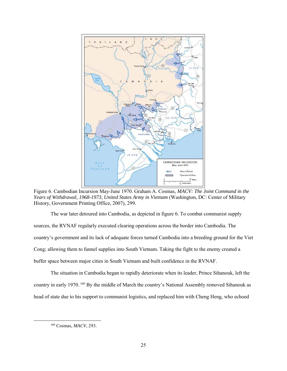

Figure 6. Cambodian Incursion May-June 1970. Graham A. Cosmas, *MACV: The Joint Command in the Years of Withdrawal, 1968-1973*, *United States Army in Vietnam* (Washington, DC: Center of Military History, Government Printing Office, 2007), 299.

The war later detoured into Cambodia, as depicted in figure 6. To combat communist supply sources, the RVNAF regularly executed clearing operations across the border into Cambodia. The country's government and its lack of adequate forces turned Cambodia into a breeding ground for the Viet Cong; allowing them to funnel supplies into South Vietnam. Taking the fight to the enemy created a buffer space between major cities in South Vietnam and built confidence in the RVNAF.

The situation in Cambodia began to rapidly deteriorate when its leader, Prince Sihanouk, left the country in early 1970.<sup>109</sup> By the middle of March the country's National Assembly removed Sihanouk as head of state due to his support to communist logistics, and replaced him with Cheng Heng, who echoed

 <sup>109</sup> Cosmas, *MACV*, 293.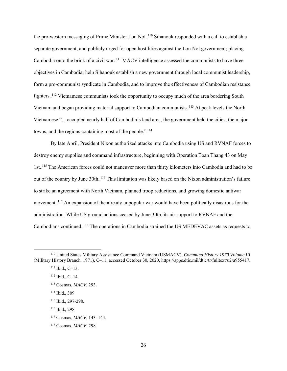the pro-western messaging of Prime Minister Lon Nol.<sup>110</sup> Sihanouk responded with a call to establish a separate government, and publicly urged for open hostilities against the Lon Nol government; placing Cambodia onto the brink of a civil war. <sup>111</sup> MACV intelligence assessed the communists to have three objectives in Cambodia; help Sihanouk establish a new government through local communist leadership, form a pro-communist syndicate in Cambodia, and to improve the effectiveness of Cambodian resistance fighters.<sup>112</sup> Vietnamese communists took the opportunity to occupy much of the area bordering South Vietnam and began providing material support to Cambodian communists.<sup>113</sup> At peak levels the North Vietnamese "…occupied nearly half of Cambodia's land area, the government held the cities, the major towns, and the regions containing most of the people.". $114$ 

By late April, President Nixon authorized attacks into Cambodia using US and RVNAF forces to destroy enemy supplies and command infrastructure, beginning with Operation Toan Thang 43 on May 1st.<sup>115</sup> The American forces could not maneuver more than thirty kilometers into Cambodia and had to be out of the country by June 30th. <sup>116</sup> This limitation was likely based on the Nixon administration's failure to strike an agreement with North Vietnam, planned troop reductions, and growing domestic antiwar movement.<sup>117</sup> An expansion of the already unpopular war would have been politically disastrous for the administration. While US ground actions ceased by June 30th, its air support to RVNAF and the Cambodians continued.<sup>118</sup> The operations in Cambodia strained the US MEDEVAC assets as requests to

<sup>116</sup> Ibid., 298.

 <sup>110</sup> United States Military Assistance Command Vietnam (USMACV), *Command History 1970 Volume III* (Military History Branch, 1971), C–11, accessed October 30, 2020, https://apps.dtic.mil/dtic/tr/fulltext/u2/a955417.

<sup>111</sup> Ibid., C–13.

 $112$  Ibid., C-14.

<sup>113</sup> Cosmas, *MACV*, 293.

<sup>114</sup> Ibid., 309.

<sup>115</sup> Ibid., 297-298.

<sup>117</sup> Cosmas, *MACV*, 143–144.

<sup>118</sup> Cosmas, *MACV*, 298.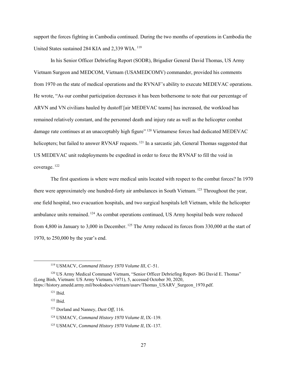support the forces fighting in Cambodia continued. During the two months of operations in Cambodia the United States sustained 284 KIA and 2,339 WIA.<sup>119</sup>

 In his Senior Officer Debriefing Report (SODR), Brigadier General David Thomas, US Army Vietnam Surgeon and MEDCOM, Vietnam (USAMEDCOMV) commander, provided his comments from 1970 on the state of medical operations and the RVNAF's ability to execute MEDEVAC operations. He wrote, "As our combat participation decreases it has been bothersome to note that our percentage of ARVN and VN civilians hauled by dustoff [air MEDEVAC teams] has increased, the workload has remained relatively constant, and the personnel death and injury rate as well as the helicopter combat damage rate continues at an unacceptably high figure".<sup>120</sup> Vietnamese forces had dedicated MEDEVAC helicopters; but failed to answer RVNAF requests.<sup>121</sup> In a sarcastic jab, General Thomas suggested that US MEDEVAC unit redeployments be expedited in order to force the RVNAF to fill the void in coverage.<sup>122</sup>

The first questions is where were medical units located with respect to the combat forces? In 1970 there were approximately one hundred-forty air ambulances in South Vietnam.<sup>123</sup> Throughout the year, one field hospital, two evacuation hospitals, and two surgical hospitals left Vietnam, while the helicopter ambulance units remained.<sup>124</sup> As combat operations continued, US Army hospital beds were reduced from 4,800 in January to 3,000 in December.<sup>125</sup> The Army reduced its forces from 330,000 at the start of 1970, to 250,000 by the year's end.

 <sup>119</sup> USMACV, *Command History 1970 Volume III*, C–51.

<sup>&</sup>lt;sup>120</sup> US Army Medical Command Vietnam, "Senior Officer Debriefing Report- BG David E. Thomas" (Long Binh, Vietnam: US Army Vietnam, 1971), 5, accessed October 30, 2020, https://history.amedd.army.mil/booksdocs/vietnam/usarv/Thomas\_USARV\_Surgeon\_1970.pdf.

<sup>121</sup> Ibid.

<sup>122</sup> Ibid.

<sup>123</sup> Dorland and Nanney, *Dust Off*, 116.

<sup>124</sup> USMACV, *Command History 1970 Volume II*, IX–139.

<sup>125</sup> USMACV, *Command History 1970 Volume II*, IX–137.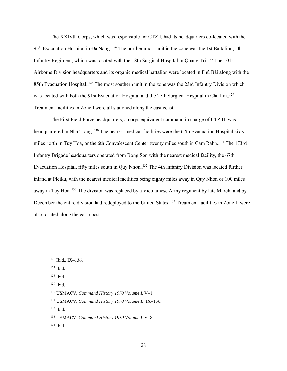The XXIVth Corps, which was responsible for CTZ I, had its headquarters co-located with the 95<sup>th</sup> Evacuation Hospital in Đà Nẵng. <sup>126</sup> The northernmost unit in the zone was the 1st Battalion, 5th Infantry Regiment, which was located with the 18th Surgical Hospital in Quang Tri. <sup>127</sup> The 101st Airborne Division headquarters and its organic medical battalion were located in Phú Bài along with the 85th Evacuation Hospital.<sup>128</sup> The most southern unit in the zone was the 23rd Infantry Division which was located with both the 91st Evacuation Hospital and the 27th Surgical Hospital in Chu Lai.<sup>129</sup> Treatment facilities in Zone I were all stationed along the east coast.

The First Field Force headquarters, a corps equivalent command in charge of CTZ II, was headquartered in Nha Trang.<sup>130</sup> The nearest medical facilities were the 67th Evacuation Hospital sixty miles north in Tuy Hòa, or the 6th Convalescent Center twenty miles south in Cam Rahn.<sup>131</sup> The 173rd Infantry Brigade headquarters operated from Bong Son with the nearest medical facility, the 67th Evacuation Hospital, fifty miles south in Quy Nhon.<sup>132</sup> The 4th Infantry Division was located further inland at Pleiku, with the nearest medical facilities being eighty miles away in Quy Nhơn or 100 miles away in Tuy Hòa.<sup>133</sup> The division was replaced by a Vietnamese Army regiment by late March, and by December the entire division had redeployed to the United States.<sup>134</sup> Treatment facilities in Zone II were also located along the east coast.

<sup>127</sup> Ibid.

 <sup>126</sup> Ibid., IX–136.

<sup>128</sup> Ibid.

 $129$  Ibid.

<sup>130</sup> USMACV, *Command History 1970 Volume I*, V–1.

<sup>131</sup> USMACV, *Command History 1970 Volume II*, IX–136.

<sup>132</sup> Ibid.

<sup>133</sup> USMACV, *Command History 1970 Volume I*, V–8.

<sup>134</sup> Ibid.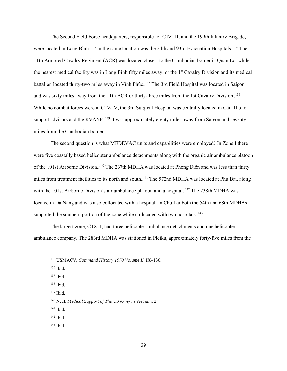The Second Field Force headquarters, responsible for CTZ III, and the 199th Infantry Brigade, were located in Long Bình.<sup>135</sup> In the same location was the 24th and 93rd Evacuation Hospitals.<sup>136</sup> The 11th Armored Cavalry Regiment (ACR) was located closest to the Cambodian border in Quan Loi while the nearest medical facility was in Long Bình fifty miles away, or the 1<sup>st</sup> Cavalry Division and its medical battalion located thirty-two miles away in Vĩnh Phúc. <sup>137</sup> The 3rd Field Hospital was located in Saigon and was sixty miles away from the 11th ACR or thirty-three miles from the 1st Cavalry Division.<sup>138</sup> While no combat forces were in CTZ IV, the 3rd Surgical Hospital was centrally located in Cần Thơ to support advisors and the RVANF.<sup>139</sup> It was approximately eighty miles away from Saigon and seventy miles from the Cambodian border.

The second question is what MEDEVAC units and capabilities were employed? In Zone I there were five coastally based helicopter ambulance detachments along with the organic air ambulance platoon of the 101st Airborne Division.<sup>140</sup> The 237th MDHA was located at Phong Điền and was less than thirty miles from treatment facilities to its north and south.<sup>141</sup> The 572nd MDHA was located at Phu Bai, along with the 101st Airborne Division's air ambulance platoon and a hospital.<sup>142</sup> The 238th MDHA was located in Da Nang and was also collocated with a hospital. In Chu Lai both the 54th and 68th MDHAs supported the southern portion of the zone while co-located with two hospitals. $143$ 

The largest zone, CTZ II, had three helicopter ambulance detachments and one helicopter ambulance company. The 283rd MDHA was stationed in Pleiku, approximately forty-five miles from the

<sup>139</sup> Ibid.

- <sup>141</sup> Ibid.
- <sup>142</sup> Ibid.
- <sup>143</sup> Ibid.

 <sup>135</sup> USMACV, *Command History 1970 Volume II*, IX–136.

<sup>136</sup> Ibid.

<sup>137</sup> Ibid.

 $138$  Ibid.

<sup>140</sup> Neel, *Medical Support of The US Army in Vietnam,* 2.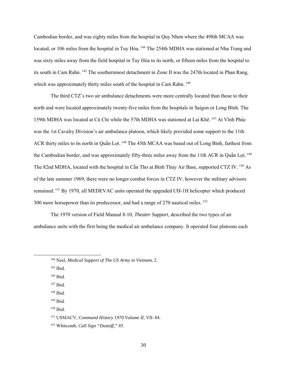Cambodian border, and was eighty miles from the hospital in Quy Nhơn where the 498th MCAA was located, or 106 miles from the hospital in Tuy Hòa.<sup>144</sup> The 254th MDHA was stationed at Nha Trang and was sixty miles away from the field hospital in Tuy Hòa to its north, or fifteen miles from the hospital to its south in Cam Rahn.<sup>145</sup> The southernmost detachment in Zone II was the 247th located in Phan Rang, which was approximately thirty miles south of the hospital in Cam Rahn.<sup>146</sup>

The third CTZ's two air ambulance detachments were more centrally located than those to their north and were located approximately twenty-five miles from the hospitals in Saigon or Long Bình. The 159th MDHA was located at Củ Chi while the 57th MDHA was stationed at Lai Khê.<sup>147</sup> At Vĩnh Phúc was the 1st Cavalry Division's air ambulance platoon, which likely provided some support to the 11th ACR thirty miles to its north in Quần Lợi. <sup>148</sup> The 45th MCAA was based out of Long Bình, farthest from the Cambodian border, and was approximately fifty-three miles away from the 11th ACR in Quần Lợi. 149 The 82nd MDHA, located with the hospital in Cần Thơ at Bình Thủy Air Base, supported CTZ IV. <sup>150</sup> As of the late summer 1969, there were no longer combat forces in CTZ IV, however the military advisors remained.<sup>151</sup> By 1970, all MEDEVAC units operated the upgraded UH-1H helicopter which produced 300 more horsepower than its predecessor, and had a range of 270 nautical miles.<sup>152</sup>

The 1970 version of Field Manual 8-10, *Theater Support,* described the two types of air ambulance units with the first being the medical air ambulance company. It operated four platoons each

 <sup>144</sup> Neel, *Medical Support of The US Army in Vietnam,* 2.

<sup>145</sup> Ibid.

<sup>146</sup> Ibid.

 $147$  Ibid.

<sup>148</sup> Ibid.

<sup>149</sup> Ibid.

<sup>150</sup> Ibid.

<sup>151</sup> USMACV, *Command History 1970 Volume II*, VII–84.

<sup>152</sup> Whitcomb, *Call Sign "Dustoff,"* 45.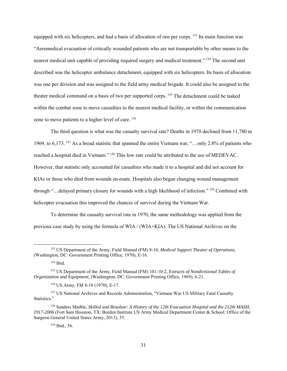equipped with six helicopters, and had a basis of allocation of one per corps.<sup>153</sup> Its main function was "Aeromedical evacuation of critically wounded patients who are not transportable by other means to the nearest medical unit capable of providing required surgery and medical treatment."<sup>154</sup> The second unit described was the helicopter ambulance detachment, equipped with six helicopters. Its basis of allocation was one per division and was assigned to the field army medical brigade. It could also be assigned to the theater medical command on a basis of two per supported corps.<sup>155</sup> The detachment could be tasked within the combat zone to move casualties to the nearest medical facility, or within the communication zone to move patients to a higher level of care.<sup>156</sup>

The third question is what was the casualty survival rate? Deaths in 1970 declined from 11,780 in 1969, to 6,173.<sup>157</sup> As a broad statistic that spanned the entire Vietnam war, "...only 2.8% of patients who reached a hospital died in Vietnam."<sup>158</sup> This low rate could be attributed to the use of MEDEVAC. However, that statistic only accounted for casualties who made it to a hospital and did not account for KIAs or those who died from wounds en-route. Hospitals also began changing wound management through "...delayed primary closure for wounds with a high likelihood of infection." <sup>159</sup> Combined with helicopter evacuation this improved the chances of survival during the Vietnam War.

To determine the casualty survival rate in 1970, the same methodology was applied from the previous case study by using the formula of WIA / (WIA+KIA). The US National Archives on the

<sup>156</sup> US Army, FM 8-10 (1970), E-17.

 <sup>153</sup> US Department of the Army, Field Manual (FM) 8-10, *Medical Support Theater of Operations,*  (Washington, DC: Government Printing Office, 1970), E-16.

<sup>154</sup> Ibid.

<sup>155</sup> US Department of the Army, Field Manual (FM) 101-10-2, *Extracts of Nondivisional Tables of Organization and Equipment,* (Washington, DC: Government Printing Office, 1969), 6-21.

<sup>&</sup>lt;sup>157</sup> US National Archives and Records Administration, "Vietnam War US Military Fatal Casualty Statistics."

<sup>158</sup> Sanders Marble, *Skilled and Resolute: A History of the 12th Evacuation Hospital and the 212th MASH, 1917-2006* (Fort Sam Houston, TX: Borden Institute US Army Medical Department Center & School; Office of the Surgeon General United States Army, 2013), 55.

<sup>159</sup> Ibid., 56.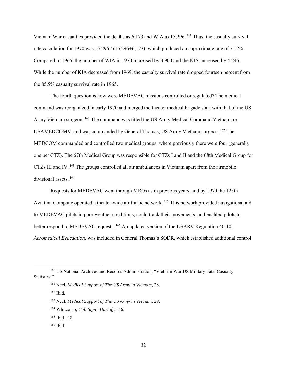Vietnam War casualties provided the deaths as  $6,173$  and WIA as  $15,296.160$  Thus, the casualty survival rate calculation for 1970 was 15,296 / (15,296+6,173), which produced an approximate rate of 71.2%. Compared to 1965, the number of WIA in 1970 increased by 3,900 and the KIA increased by 4,245. While the number of KIA decreased from 1969, the casualty survival rate dropped fourteen percent from the 85.5% casualty survival rate in 1965.

The fourth question is how were MEDEVAC missions controlled or regulated? The medical command was reorganized in early 1970 and merged the theater medical brigade staff with that of the US Army Vietnam surgeon.<sup>161</sup> The command was titled the US Army Medical Command Vietnam, or USAMEDCOMV, and was commanded by General Thomas, US Army Vietnam surgeon.<sup>162</sup> The MEDCOM commanded and controlled two medical groups, where previously there were four (generally one per CTZ). The 67th Medical Group was responsible for CTZs I and II and the 68th Medical Group for CTZs III and IV.<sup>163</sup> The groups controlled all air ambulances in Vietnam apart from the airmobile divisional assets.<sup>164</sup>

Requests for MEDEVAC went through MROs as in previous years, and by 1970 the 125th Aviation Company operated a theater-wide air traffic network.<sup>165</sup> This network provided navigational aid to MEDEVAC pilots in poor weather conditions, could track their movements, and enabled pilots to better respond to MEDEVAC requests.<sup>166</sup> An updated version of the USARV Regulation 40-10, *Aeromedical Evacuation*, was included in General Thomas's SODR, which established additional control

 <sup>160</sup> US National Archives and Records Administration, "Vietnam War US Military Fatal Casualty Statistics."

<sup>161</sup> Neel, *Medical Support of The US Army in Vietnam*, 28.

<sup>162</sup> Ibid.

<sup>163</sup> Neel, *Medical Support of The US Army in Vietnam*, 29.

<sup>164</sup> Whitcomb, *Call Sign "Dustoff,"* 46.

<sup>165</sup> Ibid., 48.

<sup>166</sup> Ibid.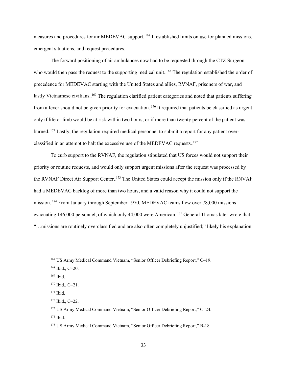measures and procedures for air MEDEVAC support.<sup>167</sup> It established limits on use for planned missions, emergent situations, and request procedures.

The forward positioning of air ambulances now had to be requested through the CTZ Surgeon who would then pass the request to the supporting medical unit.<sup>168</sup> The regulation established the order of precedence for MEDEVAC starting with the United States and allies, RVNAF, prisoners of war, and lastly Vietnamese civilians. <sup>169</sup> The regulation clarified patient categories and noted that patients suffering from a fever should not be given priority for evacuation.<sup>170</sup> It required that patients be classified as urgent only if life or limb would be at risk within two hours, or if more than twenty percent of the patient was burned.<sup>171</sup> Lastly, the regulation required medical personnel to submit a report for any patient overclassified in an attempt to halt the excessive use of the MEDEVAC requests. $172$ 

To curb support to the RVNAF, the regulation stipulated that US forces would not support their priority or routine requests, and would only support urgent missions after the request was processed by the RVNAF Direct Air Support Center. <sup>173</sup> The United States could accept the mission only if the RNVAF had a MEDEVAC backlog of more than two hours, and a valid reason why it could not support the mission.<sup>174</sup> From January through September 1970, MEDEVAC teams flew over 78,000 missions evacuating 146,000 personnel, of which only 44,000 were American. <sup>175</sup> General Thomas later wrote that "…missions are routinely overclassified and are also often completely unjustified;" likely his explanation

 <sup>167</sup> US Army Medical Command Vietnam, "Senior Officer Debriefing Report," C–19.

<sup>168</sup> Ibid., C–20.

<sup>169</sup> Ibid.

 $170$  Ibid., C-21.

<sup>171</sup> Ibid.

<sup>172</sup> Ibid., C–22.

<sup>173</sup> US Army Medical Command Vietnam, "Senior Officer Debriefing Report," C-24. <sup>174</sup> Ibid.

<sup>175</sup> US Army Medical Command Vietnam, "Senior Officer Debriefing Report," B-18.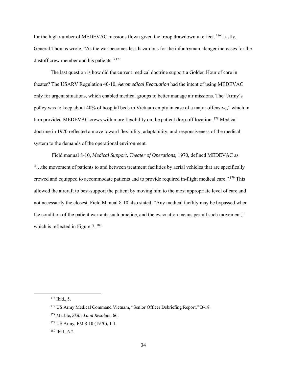for the high number of MEDEVAC missions flown given the troop drawdown in effect.<sup>176</sup> Lastly, General Thomas wrote, "As the war becomes less hazardous for the infantryman, danger increases for the dustoff crew member and his patients.". $177$ 

The last question is how did the current medical doctrine support a Golden Hour of care in theater? The USARV Regulation 40-10, *Aeromedical Evacuation* had the intent of using MEDEVAC only for urgent situations, which enabled medical groups to better manage air missions. The "Army's policy was to keep about 40% of hospital beds in Vietnam empty in case of a major offensive," which in turn provided MEDEVAC crews with more flexibility on the patient drop-off location. <sup>178</sup> Medical doctrine in 1970 reflected a move toward flexibility, adaptability, and responsiveness of the medical system to the demands of the operational environment.

 Field manual 8-10, *Medical Support, Theater of Operations,* 1970, defined MEDEVAC as "…the movement of patients to and between treatment facilities by aerial vehicles that are specifically crewed and equipped to accommodate patients and to provide required in-flight medical care." <sup>179</sup> This allowed the aircraft to best-support the patient by moving him to the most appropriate level of care and not necessarily the closest. Field Manual 8-10 also stated, "Any medical facility may be bypassed when the condition of the patient warrants such practice, and the evacuation means permit such movement," which is reflected in Figure  $7.^{180}$ 

 <sup>176</sup> Ibid., 5.

<sup>177</sup> US Army Medical Command Vietnam, "Senior Officer Debriefing Report," B-18.

<sup>178</sup> Marble, *Skilled and Resolute*, 66.

<sup>179</sup> US Army, FM 8-10 (1970), 1-1.

<sup>180</sup> Ibid., 6-2.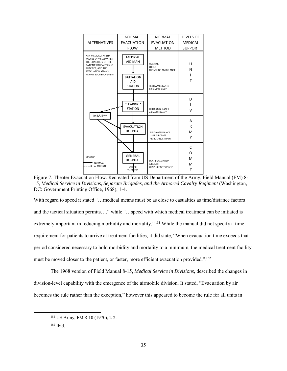|                                                                                                                                                                       | NORMAL                                                               | <b>NORMAL</b>                                                                              | <b>LEVELS OF</b>      |  |
|-----------------------------------------------------------------------------------------------------------------------------------------------------------------------|----------------------------------------------------------------------|--------------------------------------------------------------------------------------------|-----------------------|--|
| <b>ALTERNATIVES</b>                                                                                                                                                   | <b>EVACUATION</b>                                                    | <b>EVACUATION</b>                                                                          |                       |  |
|                                                                                                                                                                       | <b>FLOW</b>                                                          | <b>METHOD</b>                                                                              | <b>SUPPORT</b>        |  |
| ANY MEDICAL FACILITY<br>MAY BE BYPASSED WHEN<br>THE CONDITION OF THE<br>PATIENT WARRANTS SUCH<br>PRACTICE, AND THE<br><b>EVACUATION MEANS</b><br>PERMIT SUCH MOVEMENT | MEDICAL<br>AID MAN<br><b>BATTALION</b><br>AID<br><b>STATION</b>      | <b>WALKING</b><br>LITTER<br><b>FRONTLINE AMBULANCE</b><br>FIELD AMBULANCE<br>AIR AMBULANCE | U<br>N<br>Т           |  |
| MASH**                                                                                                                                                                | CLEARING*<br><b>STATION</b>                                          | FIELD AMBULANCE<br>AIR AMBULANCE                                                           | D<br>v                |  |
|                                                                                                                                                                       | <b>EVACUATION</b><br><b>HOSPITAL</b>                                 | <b>FIELD AMBULANCE</b><br><b>USAF AIRCRAFT</b><br><b>AMBULANCE TRAIN</b>                   | A<br>R<br>M<br>Υ      |  |
| LEGEND:<br>NORMAL<br><b>ALTERNATE</b>                                                                                                                                 | <b>GENERAL</b><br><b>HOSPITAL</b><br><b>OTHER</b><br><b>THEALERS</b> | <b>USAF EVACUATION</b><br><b>AIRCRAFT</b><br><b>USN SURFACE VESSELS</b>                    | C<br>O<br>M<br>M<br>Z |  |

Figure 7. Theater Evacuation Flow. Recreated from US Department of the Army, Field Manual (FM) 8- 15, *Medical Service in Divisions, Separate Brigades, and the Armored Cavalry Regiment* (Washington, DC: Government Printing Office, 1968), 1-4.

With regard to speed it stated "…medical means must be as close to casualties as time/distance factors and the tactical situation permits…," while "…speed with which medical treatment can be initiated is extremely important in reducing morbidity and mortality."<sup>[81</sup>] While the manual did not specify a time requirement for patients to arrive at treatment facilities, it did state, "When evacuation time exceeds that period considered necessary to hold morbidity and mortality to a minimum, the medical treatment facility must be moved closer to the patient, or faster, more efficient evacuation provided.".<sup>182</sup>

The 1968 version of Field Manual 8-15, *Medical Service in Divisions,* described the changes in division-level capability with the emergence of the airmobile division. It stated, "Evacuation by air becomes the rule rather than the exception," however this appeared to become the rule for all units in

 <sup>181</sup> US Army, FM 8-10 (1970), 2-2.

<sup>182</sup> Ibid.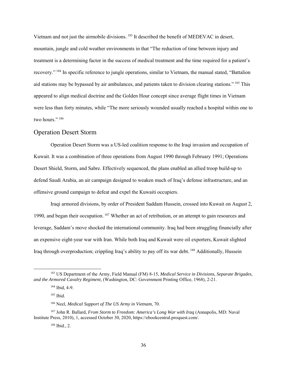Vietnam and not just the airmobile divisions.<sup>183</sup> It described the benefit of MEDEVAC in desert, mountain, jungle and cold weather environments in that "The reduction of time between injury and treatment is a determining factor in the success of medical treatment and the time required for a patient's recovery."<sup>184</sup> In specific reference to jungle operations, similar to Vietnam, the manual stated, "Battalion aid stations may be bypassed by air ambulances, and patients taken to division clearing stations." <sup>185</sup> This appeared to align medical doctrine and the Golden Hour concept since average flight times in Vietnam were less than forty minutes, while "The more seriously wounded usually reached a hospital within one to two hours.".<sup>186</sup>

## Operation Desert Storm

Operation Desert Storm was a US-led coalition response to the Iraqi invasion and occupation of Kuwait. It was a combination of three operations from August 1990 through February 1991; Operations Desert Shield, Storm, and Sabre. Effectively sequenced, the plans enabled an allied troop build-up to defend Saudi Arabia, an air campaign designed to weaken much of Iraq's defense infrastructure, and an offensive ground campaign to defeat and expel the Kuwaiti occupiers.

Iraqi armored divisions, by order of President Saddam Hussein, crossed into Kuwait on August 2, 1990, and began their occupation. <sup>187</sup> Whether an act of retribution, or an attempt to gain resources and leverage, Saddam's move shocked the international community. Iraq had been struggling financially after an expensive eight-year war with Iran. While both Iraq and Kuwait were oil exporters, Kuwait slighted Iraq through overproduction; crippling Iraq's ability to pay off its war debt. <sup>188</sup> Additionally, Hussein

 <sup>183</sup> US Department of the Army, Field Manual (FM) 8-15, *Medical Service in Divisions, Separate Brigades, and the Armored Cavalry Regiment,* (Washington, DC: Government Printing Office, 1968), 2-21.

<sup>184</sup> Ibid, 4-9.

<sup>185</sup> Ibid.

<sup>186</sup> Neel, *Medical Support of The US Army in Vietnam,* 70.

<sup>187</sup> John R. Ballard, *From Storm to Freedom: America's Long War with Iraq* (Annapolis, MD: Naval Institute Press, 2010), 1, accessed October 30, 2020, https://ebookcentral.proquest.com/.

<sup>188</sup> Ibid., 2.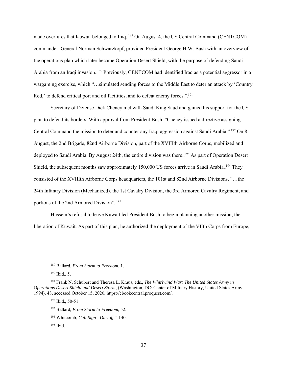made overtures that Kuwait belonged to Iraq.<sup>189</sup> On August 4, the US Central Command (CENTCOM) commander, General Norman Schwarzkopf, provided President George H.W. Bush with an overview of the operations plan which later became Operation Desert Shield, with the purpose of defending Saudi Arabia from an Iraqi invasion. <sup>190</sup> Previously, CENTCOM had identified Iraq as a potential aggressor in a wargaming exercise, which "…simulated sending forces to the Middle East to deter an attack by 'Country Red,' to defend critical port and oil facilities, and to defeat enemy forces."<sup>[91</sup>]

Secretary of Defense Dick Cheney met with Saudi King Saud and gained his support for the US plan to defend its borders. With approval from President Bush, "Cheney issued a directive assigning Central Command the mission to deter and counter any Iraqi aggression against Saudi Arabia."<sup>192</sup> On 8 August, the 2nd Brigade, 82nd Airborne Division, part of the XVIIIth Airborne Corps, mobilized and deployed to Saudi Arabia. By August 24th, the entire division was there. <sup>193</sup> As part of Operation Desert Shield, the subsequent months saw approximately 150,000 US forces arrive in Saudi Arabia.<sup>194</sup> They consisted of the XVIIIth Airborne Corps headquarters, the 101st and 82nd Airborne Divisions, "…the 24th Infantry Division (Mechanized), the 1st Cavalry Division, the 3rd Armored Cavalry Regiment, and portions of the 2nd Armored Division".<sup>195</sup>

Hussein's refusal to leave Kuwait led President Bush to begin planning another mission, the liberation of Kuwait. As part of this plan, he authorized the deployment of the VIIth Corps from Europe,

 <sup>189</sup> Ballard, *From Storm to Freedom*, 1.

<sup>190</sup> Ibid., 5.

<sup>191</sup> Frank N. Schubert and Theresa L. Kraus, eds., *The Whirlwind War: The United States Army in Operations Desert Shield and Desert Storm*, (Washington, DC: Center of Military History, United States Army, 1994), 48, accessed October 15, 2020, https://ebookcentral.proquest.com/.

<sup>192</sup> Ibid., 50-51.

<sup>193</sup> Ballard, *From Storm to Freedom*, 52.

<sup>194</sup> Whitcomb, *Call Sign "Dustoff,"* 140.

<sup>195</sup> Ibid.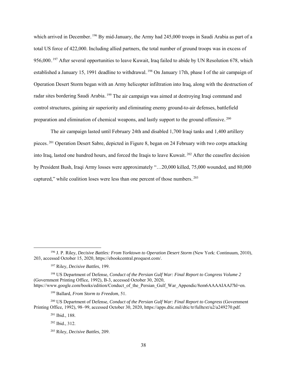which arrived in December. <sup>196</sup> By mid-January, the Army had 245,000 troops in Saudi Arabia as part of a total US force of 422,000. Including allied partners, the total number of ground troops was in excess of 956,000.<sup>197</sup> After several opportunities to leave Kuwait, Iraq failed to abide by UN Resolution 678, which established a January 15, 1991 deadline to withdrawal.<sup>198</sup> On January 17th, phase I of the air campaign of Operation Desert Storm began with an Army helicopter infiltration into Iraq, along with the destruction of radar sites bordering Saudi Arabia. <sup>199</sup> The air campaign was aimed at destroying Iraqi command and control structures, gaining air superiority and eliminating enemy ground-to-air defenses, battlefield preparation and elimination of chemical weapons, and lastly support to the ground offensive.<sup>200</sup>

The air campaign lasted until February 24th and disabled 1,700 Iraqi tanks and 1,400 artillery pieces.<sup>201</sup> Operation Desert Sabre, depicted in Figure 8, began on 24 February with two corps attacking into Iraq, lasted one hundred hours, and forced the Iraqis to leave Kuwait.<sup>202</sup> After the ceasefire decision by President Bush, Iraqi Army losses were approximately "…20,000 killed, 75,000 wounded, and 80,000 captured," while coalition loses were less than one percent of those numbers.<sup>203</sup>

<sup>198</sup> US Department of Defense, *Conduct of the Persian Gulf War: Final Report to Congress Volume 2* (Government Printing Office, 1992), B-3, accessed October 30, 2020, https://www.google.com/books/edition/Conduct of the Persian Gulf War Appendic/8em6AAAAIAAJ?hl=en.

<sup>199</sup> Ballard, *From Storm to Freedom*, 51.

<sup>200</sup> US Department of Defense, *Conduct of the Persian Gulf War: Final Report to Congress* (Government Printing Office, 1992), 98–99, accessed October 30, 2020, https://apps.dtic.mil/dtic/tr/fulltext/u2/a249270.pdf.

<sup>201</sup> Ibid., 188.

<sup>202</sup> Ibid., 312.

 <sup>196</sup> J. P. Riley, *Decisive Battles: From Yorktown to Operation Desert Storm* (New York: Continuum, 2010), 203, accessed October 15, 2020, https://ebookcentral.proquest.com/.

<sup>197</sup> Riley, *Decisive Battles*, 199.

<sup>203</sup> Riley, *Decisive Battles*, 209.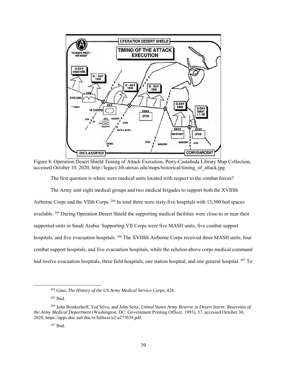

Figure 8. Operation Desert Shield Timing of Attack Execution, Perry-Castañeda Library Map Collection, accessed October 10, 2020, [http://legacy.lib.utexas.edu/maps/historical/timing\\_of\\_attack.jpg.](http://legacy.lib.utexas.edu/maps/historical/timing_of_attack.jpg)

The first question is where were medical units located with respect to the combat forces?

The Army sent eight medical groups and two medical brigades to support both the XVIIIth Airborne Corps and the VIIth Corps.<sup>204</sup> In total there were sixty-five hospitals with  $13,500$  bed spaces available.<sup>205</sup> During Operation Desert Shield the supporting medical facilities were close-to or near their supported units in Saudi Arabia. Supporting VII Corps were five MASH units, five combat support hospitals, and five evacuation hospitals.<sup>206</sup> The XVIIIth Airborne Corps received three MASH units, four combat support hospitals, and five evacuation hospitals, while the echelon-above corps medical command had twelve evacuation hospitals, three field hospitals, one station hospital, and one general hospital.<sup>207</sup> To

 <sup>204</sup> Ginn, *The History of the US Army Medical Service Corps*, 428.

<sup>205</sup> Ibid.

<sup>206</sup> John Brinkerhoff, Ted Silva, and John Seitz, *United States Army Reserve in Desert Storm: Reservists of the Army Medical Department* (Washington, DC: Government Printing Officer, 1993), 37, accessed October 30, 2020, https://apps.dtic.mil/dtic/tr/fulltext/u2/a277639.pdf.

<sup>207</sup> Ibid.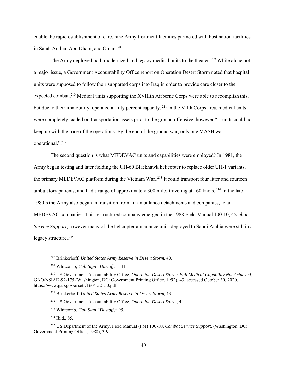enable the rapid establishment of care, nine Army treatment facilities partnered with host nation facilities in Saudi Arabia, Abu Dhabi, and Oman.<sup>208</sup>

The Army deployed both modernized and legacy medical units to the theater.<sup>209</sup> While alone not a major issue, a Government Accountability Office report on Operation Desert Storm noted that hospital units were supposed to follow their supported corps into Iraq in order to provide care closer to the expected combat.<sup>210</sup> Medical units supporting the XVIIIth Airborne Corps were able to accomplish this, but due to their immobility, operated at fifty percent capacity.<sup>211</sup> In the VIIth Corps area, medical units were completely loaded on transportation assets prior to the ground offensive, however "…units could not keep up with the pace of the operations. By the end of the ground war, only one MASH was operational."<sup>212</sup>

The second question is what MEDEVAC units and capabilities were employed? In 1981, the Army began testing and later fielding the UH-60 Blackhawk helicopter to replace older UH-1 variants, the primary MEDEVAC platform during the Vietnam War.<sup>213</sup> It could transport four litter and fourteen ambulatory patients, and had a range of approximately 300 miles traveling at 160 knots.<sup>214</sup> In the late 1980's the Army also began to transition from air ambulance detachments and companies, to air MEDEVAC companies. This restructured company emerged in the 1988 Field Manual 100-10, *Combat Service Support*, however many of the helicopter ambulance units deployed to Saudi Arabia were still in a legacy structure.<sup>215</sup>

<sup>212</sup> US Government Accountability Office, *Operation Desert Storm*, 44.

 <sup>208</sup> Brinkerhoff, *United States Army Reserve in Desert Storm*, 40.

<sup>209</sup> Whitcomb, *Call Sign "Dustoff,"* 141.

<sup>210</sup> US Government Accountability Office, *Operation Desert Storm: Full Medical Capability Not Achieved*, GAO/NSIAD-92-175 (Washington, DC: Government Printing Office, 1992), 43, accessed October 30, 2020, https://www.gao.gov/assets/160/152150.pdf.

<sup>211</sup> Brinkerhoff, *United States Army Reserve in Desert Storm,* 43.

<sup>213</sup> Whitcomb, *Call Sign "Dustoff,"* 95.

<sup>214</sup> Ibid., 85.

<sup>215</sup> US Department of the Army, Field Manual (FM) 100-10, *Combat Service Support,* (Washington, DC: Government Printing Office, 1988), 3-9.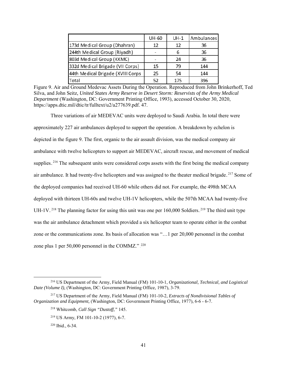|                                   | UH-60 | $UH-1$ | Ambulances |
|-----------------------------------|-------|--------|------------|
| 173d Medical Group (Dhahran)      | 12    | 12     | 36         |
| 244th Medical Group (Riyadh)      |       | 6      | 36         |
| 803d Medical Group (KKMC)         |       | 24     | 36         |
| 332d Medical Brigade (VII Corps)  | 15    | 79     | 144        |
| 44th Medical Brigade (XVIII Corps | 25    | 54     | 144        |
| Total                             | 52    | 175    | 396        |

Figure 9. Air and Ground Medevac Assets During the Operation. Reproduced from John Brinkerhoff, Ted Silva, and John Seitz, *United States Army Reserve in Desert Storm: Reservists of the Army Medical Department* (Washington, DC: Government Printing Office, 1993), accessed October 30, 2020, [https://apps.dtic.mil/dtic/tr/fulltext/u2/a277639.pdf.](https://apps.dtic.mil/dtic/tr/fulltext/u2/a277639.pdf) 47.

Three variations of air MEDEVAC units were deployed to Saudi Arabia. In total there were approximately 227 air ambulances deployed to support the operation. A breakdown by echelon is depicted in the figure 9. The first, organic to the air assault division, was the medical company air ambulance with twelve helicopters to support air MEDEVAC, aircraft rescue, and movement of medical supplies.<sup>216</sup> The subsequent units were considered corps assets with the first being the medical company air ambulance. It had twenty-five helicopters and was assigned to the theater medical brigade.<sup>217</sup> Some of the deployed companies had received UH-60 while others did not. For example, the 498th MCAA deployed with thirteen UH-60s and twelve UH-1V helicopters, while the 507th MCAA had twenty-five UH-1V.<sup>218</sup> The planning factor for using this unit was one per 160,000 Soldiers.<sup>219</sup> The third unit type was the air ambulance detachment which provided a six helicopter team to operate either in the combat zone or the communications zone. Its basis of allocation was "…1 per 20,000 personnel in the combat zone plus 1 per 50,000 personnel in the COMMZ." $2^{220}$ 

 <sup>216</sup> US Department of the Army, Field Manual (FM) 101-10-1, *Organizational, Technical, and Logistical Date (Volume I),* (Washington, DC: Government Printing Office, 1987), 3-79.

<sup>217</sup> US Department of the Army, Field Manual (FM) 101-10-2, *Extracts of Nondivisional Tables of Organization and Equipment,* (Washington, DC: Government Printing Office, 1977), 6-6 - 6-7.

<sup>218</sup> Whitcomb, *Call Sign "Dustoff,"* 145.

<sup>219</sup> US Army, FM 101-10-2 (1977), 6-7.

<sup>220</sup> Ibid., 6-34.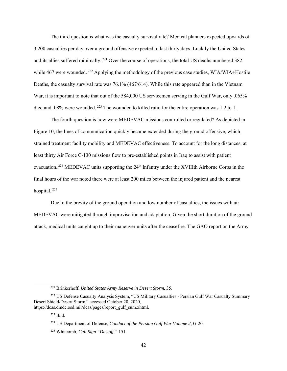The third question is what was the casualty survival rate? Medical planners expected upwards of 3,200 casualties per day over a ground offensive expected to last thirty days. Luckily the United States and its allies suffered minimally.<sup>221</sup> Over the course of operations, the total US deaths numbered 382 while 467 were wounded.<sup>222</sup> Applying the methodology of the previous case studies, WIA/WIA+Hostile Deaths, the casualty survival rate was 76.1% (467/614). While this rate appeared than in the Vietnam War, it is important to note that out of the 584,000 US servicemen serving in the Gulf War, only .065% died and .08% were wounded.<sup>223</sup> The wounded to killed ratio for the entire operation was 1.2 to 1.

The fourth question is how were MEDEVAC missions controlled or regulated? As depicted in Figure 10, the lines of communication quickly became extended during the ground offensive, which strained treatment facility mobility and MEDEVAC effectiveness. To account for the long distances, at least thirty Air Force C-130 missions flew to pre-established points in Iraq to assist with patient evacuation.<sup>224</sup> MEDEVAC units supporting the 24<sup>th</sup> Infantry under the XVIIIth Airborne Corps in the final hours of the war noted there were at least 200 miles between the injured patient and the nearest hospital.<sup>225</sup>

Due to the brevity of the ground operation and low number of casualties, the issues with air MEDEVAC were mitigated through improvisation and adaptation. Given the short duration of the ground attack, medical units caught up to their maneuver units after the ceasefire. The GAO report on the Army

 <sup>221</sup> Brinkerhoff, *United States Army Reserve in Desert Storm*, 35.

<sup>&</sup>lt;sup>222</sup> US Defense Casualty Analysis System, "US Military Casualties - Persian Gulf War Casualty Summary Desert Shield/Desert Storm," accessed October 20, 2020, https://dcas.dmdc.osd.mil/dcas/pages/report\_gulf\_sum.xhtml.

<sup>223</sup> Ibid.

<sup>224</sup> US Department of Defense, *Conduct of the Persian Gulf War Volume 2*, G-20.

<sup>225</sup> Whitcomb, *Call Sign "Dustoff,"* 151.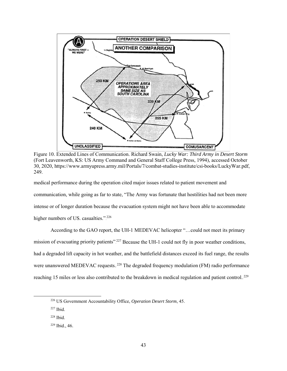

Figure 10. Extended Lines of Communication. Richard Swain, *Lucky War: Third Army in Desert Storm* (Fort Leavenworth, KS: US Army Command and General Staff College Press, 1994), accessed October 30, 2020, [https://www.armyupress.army.mil/Portals/7/combat-studies-institute/csi-books/LuckyWar.pdf,](https://www.armyupress.army.mil/Portals/7/combat-studies-institute/csi-books/LuckyWar.pdf) 249.

medical performance during the operation cited major issues related to patient movement and communication, while going as far to state, "The Army was fortunate that hostilities had not been more intense or of longer duration because the evacuation system might not have been able to accommodate higher numbers of US. casualties." $2^{226}$ 

According to the GAO report, the UH-1 MEDEVAC helicopter "…could not meet its primary mission of evacuating priority patients".<sup>227</sup> Because the UH-1 could not fly in poor weather conditions, had a degraded lift capacity in hot weather, and the battlefield distances exceed its fuel range, the results were unanswered MEDEVAC requests.<sup>228</sup> The degraded frequency modulation (FM) radio performance reaching 15 miles or less also contributed to the breakdown in medical regulation and patient control.<sup>229</sup>

 <sup>226</sup> US Government Accountability Office, *Operation Desert Storm*, 45.

 $227$  Ibid.

<sup>228</sup> Ibid.

<sup>229</sup> Ibid., 46.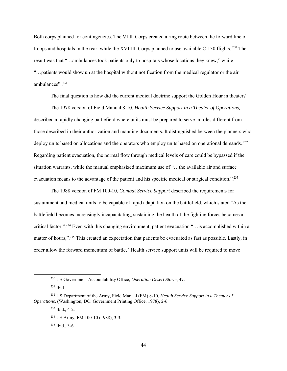Both corps planned for contingencies. The VIIth Corps created a ring route between the forward line of troops and hospitals in the rear, while the XVIIIth Corps planned to use available C-130 flights.<sup>230</sup> The result was that "…ambulances took patients only to hospitals whose locations they knew," while "…patients would show up at the hospital without notification from the medical regulator or the air ambulances".<sup>231</sup>

The final question is how did the current medical doctrine support the Golden Hour in theater?

The 1978 version of Field Manual 8-10, *Health Service Support in a Theater of Operations,*  described a rapidly changing battlefield where units must be prepared to serve in roles different from those described in their authorization and manning documents. It distinguished between the planners who deploy units based on allocations and the operators who employ units based on operational demands.<sup>232</sup> Regarding patient evacuation, the normal flow through medical levels of care could be bypassed if the situation warrants, while the manual emphasized maximum use of "…the available air and surface evacuation means to the advantage of the patient and his specific medical or surgical condition."<sup>233</sup>

The 1988 version of FM 100-10, *Combat Service Support* described the requirements for sustainment and medical units to be capable of rapid adaptation on the battlefield, which stated "As the battlefield becomes increasingly incapacitating, sustaining the health of the fighting forces becomes a critical factor."<sup>234</sup> Even with this changing environment, patient evacuation "...is accomplished within a matter of hours,"<sup>235</sup> This created an expectation that patients be evacuated as fast as possible. Lastly, in order allow the forward momentum of battle, "Health service support units will be required to move

 <sup>230</sup> US Government Accountability Office, *Operation Desert Storm*, 47.

<sup>231</sup> Ibid.

<sup>232</sup> US Department of the Army, Field Manual (FM) 8-10, *Health Service Support in a Theater of Operations,* (Washington, DC: Government Printing Office, 1978), 2-6.

<sup>233</sup> Ibid., 4-2.

<sup>234</sup> US Army, FM 100-10 (1988), 3-3.

<sup>235</sup> Ibid., 3-6.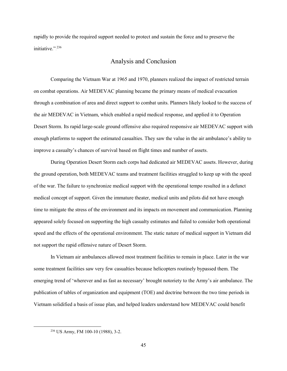rapidly to provide the required support needed to protect and sustain the force and to preserve the initiative."<sup>236</sup>

#### Analysis and Conclusion

Comparing the Vietnam War at 1965 and 1970, planners realized the impact of restricted terrain on combat operations. Air MEDEVAC planning became the primary means of medical evacuation through a combination of area and direct support to combat units. Planners likely looked to the success of the air MEDEVAC in Vietnam, which enabled a rapid medical response, and applied it to Operation Desert Storm. Its rapid large-scale ground offensive also required responsive air MEDEVAC support with enough platforms to support the estimated casualties. They saw the value in the air ambulance's ability to improve a casualty's chances of survival based on flight times and number of assets.

During Operation Desert Storm each corps had dedicated air MEDEVAC assets. However, during the ground operation, both MEDEVAC teams and treatment facilities struggled to keep up with the speed of the war. The failure to synchronize medical support with the operational tempo resulted in a defunct medical concept of support. Given the immature theater, medical units and pilots did not have enough time to mitigate the stress of the environment and its impacts on movement and communication. Planning appeared solely focused on supporting the high casualty estimates and failed to consider both operational speed and the effects of the operational environment. The static nature of medical support in Vietnam did not support the rapid offensive nature of Desert Storm.

In Vietnam air ambulances allowed most treatment facilities to remain in place. Later in the war some treatment facilities saw very few casualties because helicopters routinely bypassed them. The emerging trend of 'wherever and as fast as necessary' brought notoriety to the Army's air ambulance. The publication of tables of organization and equipment (TOE) and doctrine between the two time periods in Vietnam solidified a basis of issue plan, and helped leaders understand how MEDEVAC could benefit

 <sup>236</sup> US Army, FM 100-10 (1988), 3-2.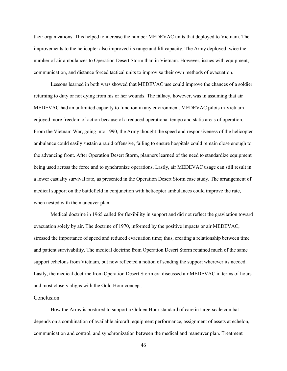their organizations. This helped to increase the number MEDEVAC units that deployed to Vietnam. The improvements to the helicopter also improved its range and lift capacity. The Army deployed twice the number of air ambulances to Operation Desert Storm than in Vietnam. However, issues with equipment, communication, and distance forced tactical units to improvise their own methods of evacuation.

Lessons learned in both wars showed that MEDEVAC use could improve the chances of a soldier returning to duty or not dying from his or her wounds. The fallacy, however, was in assuming that air MEDEVAC had an unlimited capacity to function in any environment. MEDEVAC pilots in Vietnam enjoyed more freedom of action because of a reduced operational tempo and static areas of operation. From the Vietnam War, going into 1990, the Army thought the speed and responsiveness of the helicopter ambulance could easily sustain a rapid offensive, failing to ensure hospitals could remain close enough to the advancing front. After Operation Desert Storm, planners learned of the need to standardize equipment being used across the force and to synchronize operations. Lastly, air MEDEVAC usage can still result in a lower casualty survival rate, as presented in the Operation Desert Storm case study. The arrangement of medical support on the battlefield in conjunction with helicopter ambulances could improve the rate, when nested with the maneuver plan.

Medical doctrine in 1965 called for flexibility in support and did not reflect the gravitation toward evacuation solely by air. The doctrine of 1970, informed by the positive impacts or air MEDEVAC, stressed the importance of speed and reduced evacuation time; thus, creating a relationship between time and patient survivability. The medical doctrine from Operation Desert Storm retained much of the same support echelons from Vietnam, but now reflected a notion of sending the support wherever its needed. Lastly, the medical doctrine from Operation Desert Storm era discussed air MEDEVAC in terms of hours and most closely aligns with the Gold Hour concept.

#### Conclusion

How the Army is postured to support a Golden Hour standard of care in large-scale combat depends on a combination of available aircraft, equipment performance, assignment of assets at echelon, communication and control, and synchronization between the medical and maneuver plan. Treatment

46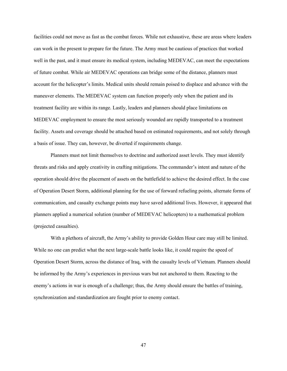facilities could not move as fast as the combat forces. While not exhaustive, these are areas where leaders can work in the present to prepare for the future. The Army must be cautious of practices that worked well in the past, and it must ensure its medical system, including MEDEVAC, can meet the expectations of future combat. While air MEDEVAC operations can bridge some of the distance, planners must account for the helicopter's limits. Medical units should remain poised to displace and advance with the maneuver elements. The MEDEVAC system can function properly only when the patient and its treatment facility are within its range. Lastly, leaders and planners should place limitations on MEDEVAC employment to ensure the most seriously wounded are rapidly transported to a treatment facility. Assets and coverage should be attached based on estimated requirements, and not solely through a basis of issue. They can, however, be diverted if requirements change.

Planners must not limit themselves to doctrine and authorized asset levels. They must identify threats and risks and apply creativity in crafting mitigations. The commander's intent and nature of the operation should drive the placement of assets on the battlefield to achieve the desired effect. In the case of Operation Desert Storm, additional planning for the use of forward refueling points, alternate forms of communication, and casualty exchange points may have saved additional lives. However, it appeared that planners applied a numerical solution (number of MEDEVAC helicopters) to a mathematical problem (projected casualties).

With a plethora of aircraft, the Army's ability to provide Golden Hour care may still be limited. While no one can predict what the next large-scale battle looks like, it could require the speed of Operation Desert Storm, across the distance of Iraq, with the casualty levels of Vietnam. Planners should be informed by the Army's experiences in previous wars but not anchored to them. Reacting to the enemy's actions in war is enough of a challenge; thus, the Army should ensure the battles of training, synchronization and standardization are fought prior to enemy contact.

47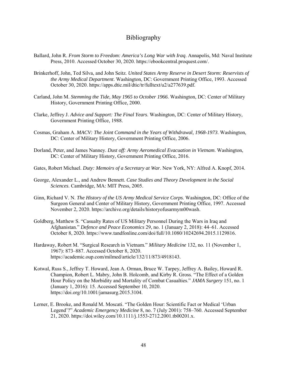# Bibliography

- Ballard, John R. *From Storm to Freedom: America's Long War with Iraq*. Annapolis, Md: Naval Institute Press, 2010. Accessed October 30, 2020[. https://ebookcentral.proquest.com/.](https://ebookcentral.proquest.com/)
- Brinkerhoff, John, Ted Silva, and John Seitz. *United States Army Reserve in Desert Storm: Reservists of the Army Medical Department*. Washington, DC: Government Printing Office, 1993. Accessed October 30, 2020. [https://apps.dtic.mil/dtic/tr/fulltext/u2/a277639.pdf.](https://apps.dtic.mil/dtic/tr/fulltext/u2/a277639.pdf)
- Carland, John M. *Stemming the Tide, May 1965 to October 1966*. Washington, DC: Center of Military History, Government Printing Office, 2000.
- Clarke, Jeffrey J. *Advice and Support: The Final Years*. Washington, DC: Center of Military History, Government Printing Office, 1988.
- Cosmas, Graham A. *MACV: The Joint Command in the Years of Withdrawal, 1968-1973*. Washington, DC: Center of Military History, Government Printing Office, 2006.
- Dorland, Peter, and James Nanney. *Dust off: Army Aeromedical Evacuation in Vietnam*. Washington, DC: Center of Military History, Government Printing Office, 2016.
- Gates, Robert Michael. *Duty: Memoirs of a Secretary at War*. New York, NY: Alfred A. Knopf, 2014.
- George, Alexander L., and Andrew Bennett. *Case Studies and Theory Development in the Social Sciences*. Cambridge, MA: MIT Press, 2005.
- Ginn, Richard V. N. *The History of the US Army Medical Service Corps*. Washington, DC: Office of the Surgeon General and Center of Military History, Government Printing Office, 1997. Accessed November 2, 2020[. https://archive.org/details/historyofusarmym00wash.](https://archive.org/details/historyofusarmym00wash)
- Goldberg, Matthew S. "Casualty Rates of US Military Personnel During the Wars in Iraq and Afghanistan." *Defence and Peace Economics* 29, no. 1 (January 2, 2018): 44–61. Accessed October 8, 2020[. https://www.tandfonline.com/doi/full/10.1080/10242694.2015.1129816.](https://www.tandfonline.com/doi/full/10.1080/10242694.2015.1129816)
- Hardaway, Robert M. "Surgical Research in Vietnam." *Military Medicine* 132, no. 11 (November 1, 1967): 873–887. Accessed October 8, 2020. [https://academic.oup.com/milmed/article/132/11/873/4918143.](https://academic.oup.com/milmed/article/132/11/873/4918143)
- Kotwal, Russ S., Jeffrey T. Howard, Jean A. Orman, Bruce W. Tarpey, Jeffrey A. Bailey, Howard R. Champion, Robert L. Mabry, John B. Holcomb, and Kirby R. Gross. "The Effect of a Golden Hour Policy on the Morbidity and Mortality of Combat Casualties." *JAMA Surgery* 151, no. 1 (January 1, 2016): 15. Accessed September 10, 2020. https://doi.org/10.1001/jamasurg.2015.3104.
- Lerner, E. Brooke, and Ronald M. Moscati. "The Golden Hour: Scientific Fact or Medical 'Urban Legend'?" *Academic Emergency Medicine* 8, no. 7 (July 2001): 758–760. Accessed September 21, 2020. [https://doi.wiley.com/10.1111/j.1553-2712.2001.tb00201.x.](https://doi.wiley.com/10.1111/j.1553-2712.2001.tb00201.x)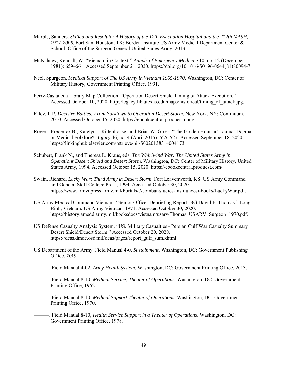- Marble, Sanders. *Skilled and Resolute: A History of the 12th Evacuation Hospital and the 212th MASH, 1917-2006*. Fort Sam Houston, TX: Borden Institute US Army Medical Department Center & School; Office of the Surgeon General United States Army, 2013.
- McNabney, Kendall, W. "Vietnam in Context." *Annals of Emergency Medicine* 10, no. 12 (December 1981): 659–661. Accessed September 21, 2020. [https://doi.org/10.1016/S0196-0644\(81\)80094-7.](https://doi.org/10.1016/S0196-0644(81)80094-7)
- Neel, Spurgeon. *Medical Support of The US Army in Vietnam 1965-1970*. Washington, DC: Center of Military History, Government Printing Office, 1991.
- Perry-Castaneda Library Map Collection. "Operation Desert Shield Timing of Attack Execution." Accessed October 10, 2020. [http://legacy.lib.utexas.edu/maps/historical/timing\\_of\\_attack.jpg.](http://legacy.lib.utexas.edu/maps/historical/timing_of_attack.jpg)
- Riley, J. P. *Decisive Battles: From Yorktown to Operation Desert Storm*. New York, NY: Continuum, 2010. Accessed October 15, 2020. [https://ebookcentral.proquest.com/.](https://ebookcentral.proquest.com/)
- Rogers, Frederick B., Katelyn J. Rittenhouse, and Brian W. Gross. "The Golden Hour in Trauma: Dogma or Medical Folklore?" *Injury* 46, no. 4 (April 2015): 525–527. Accessed September 18, 2020. https://linkinghub.elsevier.com/retrieve/pii/S0020138314004173.
- Schubert, Frank N., and Theresa L. Kraus, eds. *The Whirlwind War: The United States Army in Operations Desert Shield and Desert Storm*. Washington, DC: Center of Military History, United States Army, 1994. Accessed October 15, 2020. [https://ebookcentral.proquest.com/.](https://ebookcentral.proquest.com/)
- Swain, Richard. *Lucky War: Third Army in Desert Storm*. Fort Leavenworth, KS: US Army Command and General Staff College Press, 1994. Accessed October 30, 2020. [https://www.armyupress.army.mil/Portals/7/combat-studies-institute/csi-books/LuckyWar.pdf.](https://www.armyupress.army.mil/Portals/7/combat-studies-institute/csi-books/LuckyWar.pdf)
- US Army Medical Command Vietnam. "Senior Officer Debriefing Report- BG David E. Thomas." Long Binh, Vietnam: US Army Vietnam, 1971. Accessed October 30, 2020. [https://history.amedd.army.mil/booksdocs/vietnam/usarv/Thomas\\_USARV\\_Surgeon\\_1970.pdf.](https://history.amedd.army.mil/booksdocs/vietnam/usarv/Thomas_USARV_Surgeon_1970.pdf)
- US Defense Casualty Analysis System. "US. Military Casualties Persian Gulf War Casualty Summary Desert Shield/Desert Storm." Accessed October 20, 2020. https://dcas.dmdc.osd.mil/dcas/pages/report\_gulf\_sum.xhtml.
- US Department of the Army. Field Manual 4-0, *Sustainment*. Washington, DC: Government Publishing Office, 2019.
- ———. Field Manual 4-02, *Army Health System*. Washington, DC: Government Printing Office, 2013.
	- ———. Field Manual 8-10, *Medical Service, Theater of Operations*. Washington, DC: Government Printing Office, 1962.
- ———. Field Manual 8-10, *Medical Support Theater of Operations*. Washington, DC: Government Printing Office, 1970.
- ———. Field Manual 8-10, *Health Service Support in a Theater of Operations*. Washington, DC: Government Printing Office, 1978.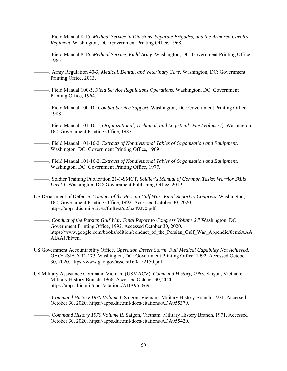- ———. Field Manual 8-15, *Medical Service in Divisions, Separate Brigades, and the Armored Cavalry Regiment*. Washington, DC: Government Printing Office, 1968.
- ———. Field Manual 8-16, *Medical Service, Field Army*. Washington, DC: Government Printing Office, 1965.
	- ———. Army Regulation 40-3, *Medical, Dental, and Veterinary Care*. Washington, DC: Government Printing Office, 2013.
- ———. Field Manual 100-5, *Field Service Regulations Operations*. Washington, DC: Government Printing Office, 1964.
- ———. Field Manual 100-10, *Combat Service Support*. Washington, DC: Government Printing Office, 1988
- ———. Field Manual 101-10-1, *Organizational, Technical, and Logistical Date (Volume I)*. Washington, DC: Government Printing Office, 1987.
- ———. Field Manual 101-10-2, *Extracts of Nondivisional Tables of Organization and Equipment*. Washington, DC: Government Printing Office, 1969
- ———. Field Manual 101-10-2, *Extracts of Nondivisional Tables of Organization and Equipment*. Washington, DC: Government Printing Office, 1977.

———. Soldier Training Publication 21-1-SMCT, *Soldier's Manual of Common Tasks: Warrior Skills Level 1*. Washington, DC: Government Publishing Office, 2019.

- US Department of Defense. *Conduct of the Persian Gulf War: Final Report to Congress*. Washington, DC: Government Printing Office, 1992. Accessed October 30, 2020. https://apps.dtic.mil/dtic/tr/fulltext/u2/a249270.pdf
	- ———. *Conduct of the Persian Gulf War: Final Report to Congress Volume 2*." Washington, DC: Government Printing Office, 1992. Accessed October 30, 2020. https://www.google.com/books/edition/conduct of the Persian Gulf War Appendic/8em6AAA [AIAAJ?hl=en.](https://www.google.com/books/edition/conduct_of_the_Persian_Gulf_War_Appendic/8em6AAAAIAAJ?hl=en)
- US Government Accountability Office. *Operation Desert Storm: Full Medical Capability Not Achieved,*  GAO/NSIAD-92-175. Washington, DC: Government Printing Office, 1992. Accessed October 30, 2020. [https://www.gao.gov/assets/160/152150.pdf.](https://www.gao.gov/assets/160/152150.pdf)
- US Military Assistance Command Vietnam (USMACV). *Command History, 1965*. Saigon, Vietnam: Military History Branch, 1966. Accessed October 30, 2020. [https://apps.dtic.mil/docs/citations/ADA955669.](https://apps.dtic.mil/docs/citations/ADA955669)
	- ———. *Command History 1970 Volume I*. Saigon, Vietnam: Military History Branch, 1971. Accessed October 30, 2020. [https://apps.dtic.mil/docs/citations/ADA955379.](https://apps.dtic.mil/docs/citations/ADA955379)
	- ———. C*ommand History 1970 Volume II*. Saigon, Vietnam: Military History Branch, 1971. Accessed October 30, 2020. [https://apps.dtic.mil/docs/citations/ADA955420.](https://apps.dtic.mil/docs/citations/ADA955420)